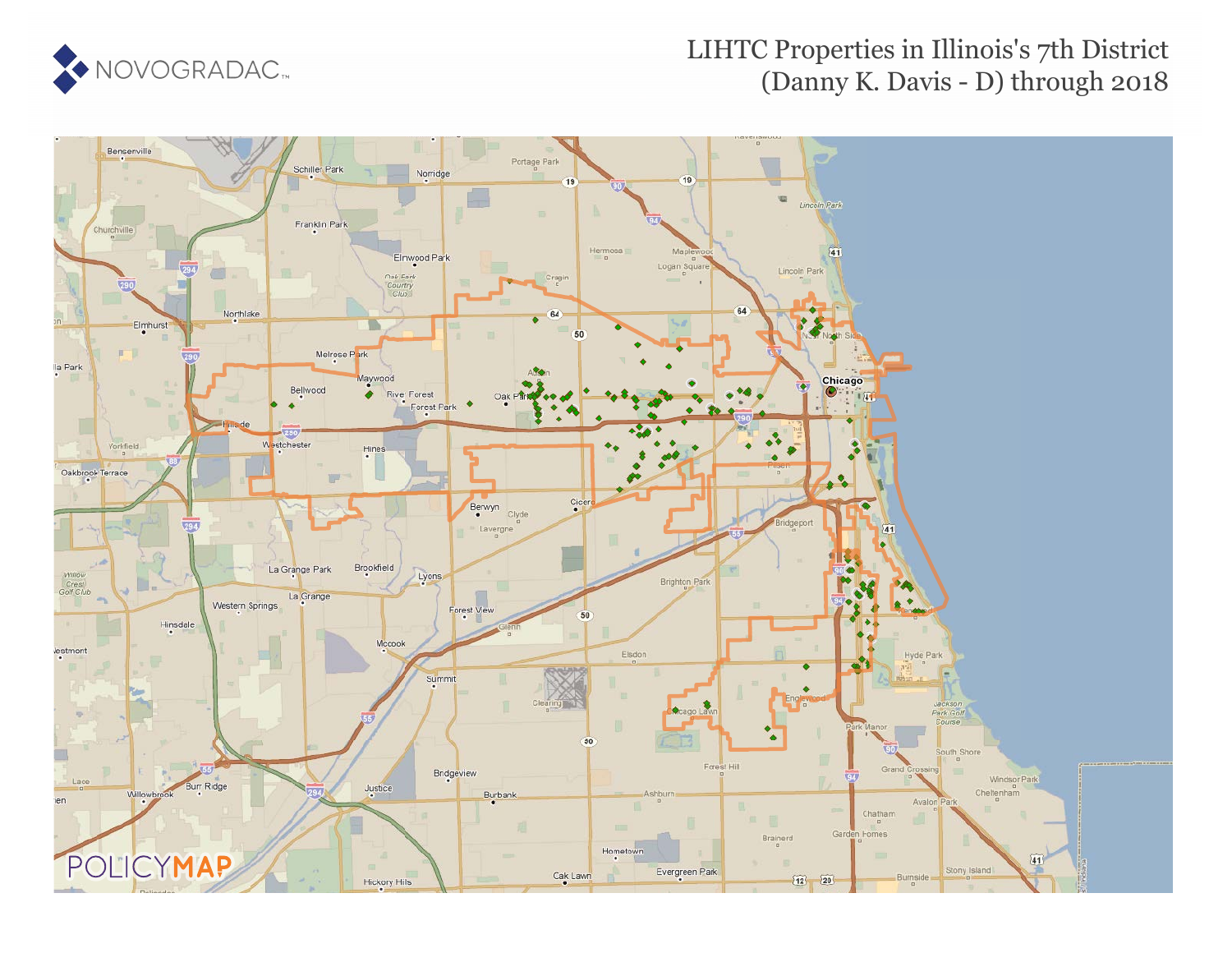

#### LIHTC Properties in Illinois's 7th District (Danny K. Davis - D) through 2018

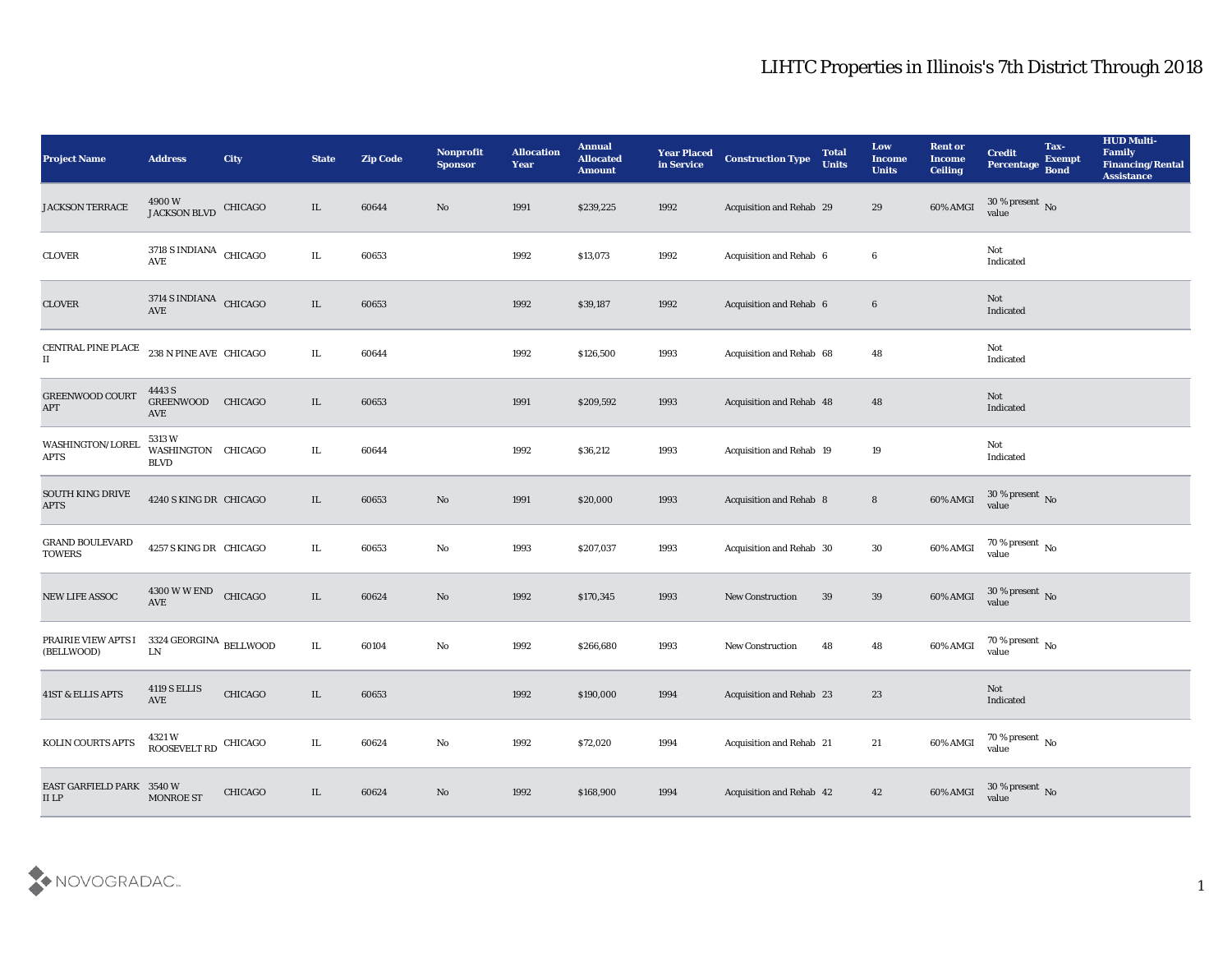| <b>Project Name</b>                      | <b>Address</b>                                  | <b>City</b>    | <b>State</b> | <b>Zip Code</b> | Nonprofit<br><b>Sponsor</b> | <b>Allocation</b><br><b>Year</b> | <b>Annual</b><br><b>Allocated</b><br><b>Amount</b> | <b>Year Placed</b><br>in Service | <b>Construction Type</b> | <b>Total</b><br><b>Units</b> | Low<br><b>Income</b><br><b>Units</b> | <b>Rent or</b><br><b>Income</b><br><b>Ceiling</b> | <b>Credit</b><br>Percentage        | Tax-<br><b>Exempt</b><br><b>Bond</b> | <b>HUD Multi-</b><br>Family<br><b>Financing/Rental</b><br><b>Assistance</b> |
|------------------------------------------|-------------------------------------------------|----------------|--------------|-----------------|-----------------------------|----------------------------------|----------------------------------------------------|----------------------------------|--------------------------|------------------------------|--------------------------------------|---------------------------------------------------|------------------------------------|--------------------------------------|-----------------------------------------------------------------------------|
| JACKSON TERRACE                          | $4900\,\mathrm{W}$ JACKSON BLVD CHICAGO         |                | IL           | 60644           | No                          | 1991                             | \$239,225                                          | 1992                             | Acquisition and Rehab 29 |                              | 29                                   | 60% AMGI                                          | $30\,\%$ present $\,$ No value     |                                      |                                                                             |
| CLOVER                                   | $3718$ S INDIANA $\,$ CHICAGO $\,$<br>AVE       |                | IL           | 60653           |                             | 1992                             | \$13,073                                           | 1992                             | Acquisition and Rehab 6  |                              | 6                                    |                                                   | Not<br>Indicated                   |                                      |                                                                             |
| <b>CLOVER</b>                            | 3714 S INDIANA CHICAGO<br>AVE                   |                | $\rm IL$     | 60653           |                             | 1992                             | \$39,187                                           | 1992                             | Acquisition and Rehab 6  |                              | $6\phantom{.0}$                      |                                                   | Not<br>Indicated                   |                                      |                                                                             |
| CENTRAL PINE PLACE<br>П                  | 238 N PINE AVE CHICAGO                          |                | $\rm IL$     | 60644           |                             | 1992                             | \$126,500                                          | 1993                             | Acquisition and Rehab 68 |                              | 48                                   |                                                   | Not<br>Indicated                   |                                      |                                                                             |
| <b>GREENWOOD COURT</b><br>$\mbox{APT}$   | 4443 S<br><b>GREENWOOD</b><br>AVE               | <b>CHICAGO</b> | IL           | 60653           |                             | 1991                             | \$209,592                                          | 1993                             | Acquisition and Rehab 48 |                              | 48                                   |                                                   | Not<br>Indicated                   |                                      |                                                                             |
| WASHINGTON/LOREL<br>APTS                 | 5313 W<br>WASHINGTON CHICAGO<br><b>BLVD</b>     |                | IL           | 60644           |                             | 1992                             | \$36,212                                           | 1993                             | Acquisition and Rehab 19 |                              | 19                                   |                                                   | Not<br>Indicated                   |                                      |                                                                             |
| <b>SOUTH KING DRIVE</b><br><b>APTS</b>   | 4240 S KING DR CHICAGO                          |                | IL           | 60653           | No                          | 1991                             | \$20,000                                           | 1993                             | Acquisition and Rehab 8  |                              | $8\phantom{.}$                       | 60% AMGI                                          | $30\%$ present No<br>value         |                                      |                                                                             |
| <b>GRAND BOULEVARD</b><br><b>TOWERS</b>  | 4257 S KING DR CHICAGO                          |                | IL           | 60653           | No                          | 1993                             | \$207,037                                          | 1993                             | Acquisition and Rehab 30 |                              | 30                                   | 60% AMGI                                          | 70 % present $\,$ No $\,$<br>value |                                      |                                                                             |
| NEW LIFE ASSOC                           | 4300 W W END<br>AVE                             | CHICAGO        | IL           | 60624           | No                          | 1992                             | \$170,345                                          | 1993                             | <b>New Construction</b>  | 39                           | 39                                   | 60% AMGI                                          | $30\,\%$ present $\,$ No value     |                                      |                                                                             |
| PRAIRIE VIEW APTS I<br>(BELLWOOD)        | 3324 GEORGINA $_{\rm{BELL WOOD}}$<br>${\rm LN}$ |                | IL           | 60104           | $\rm\thinspace No$          | 1992                             | \$266,680                                          | 1993                             | <b>New Construction</b>  | 48                           | 48                                   | 60% AMGI                                          | $70\,\% \,present \over value$     |                                      |                                                                             |
| <b>41ST &amp; ELLIS APTS</b>             | <b>4119 S ELLIS</b><br>AVE                      | CHICAGO        | IL           | 60653           |                             | 1992                             | \$190,000                                          | 1994                             | Acquisition and Rehab 23 |                              | 23                                   |                                                   | Not<br>Indicated                   |                                      |                                                                             |
| KOLIN COURTS APTS                        | $4321\,\mathrm{W}$ ROOSEVELT RD CHICAGO         |                | IL           | 60624           | $\mathbf {No}$              | 1992                             | \$72,020                                           | 1994                             | Acquisition and Rehab 21 |                              | $21\,$                               | 60% AMGI                                          | $70\,\%$ present $\,$ No value     |                                      |                                                                             |
| EAST GARFIELD PARK 3540 W<br>$\rm II$ LP | <b>MONROE ST</b>                                | <b>CHICAGO</b> | IL           | 60624           | $\rm \bf No$                | 1992                             | \$168,900                                          | 1994                             | Acquisition and Rehab 42 |                              | 42                                   | 60% AMGI                                          | $30\,\%$ present $\,$ No value     |                                      |                                                                             |

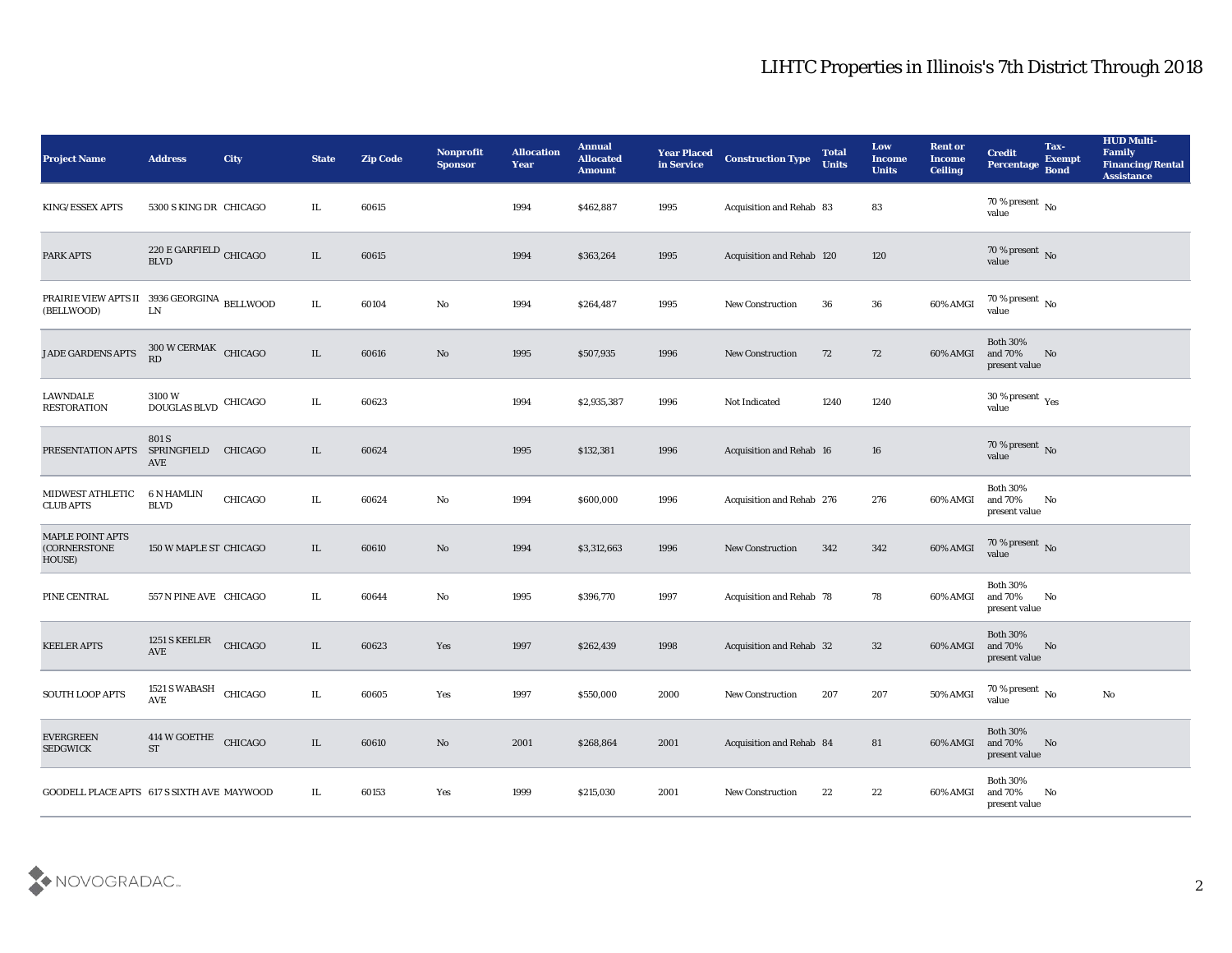| <b>Project Name</b>                                       | <b>Address</b>                                              | <b>City</b>    | <b>State</b> | <b>Zip Code</b> | Nonprofit<br><b>Sponsor</b> | <b>Allocation</b><br><b>Year</b> | <b>Annual</b><br><b>Allocated</b><br><b>Amount</b> | <b>Year Placed</b><br>in Service | <b>Construction Type</b>        | <b>Total</b><br><b>Units</b> | Low<br><b>Income</b><br><b>Units</b> | <b>Rent or</b><br><b>Income</b><br><b>Ceiling</b> | <b>Credit</b><br><b>Percentage</b>             | Tax-<br><b>Exempt</b><br><b>Bond</b> | <b>HUD Multi-</b><br>Family<br><b>Financing/Rental</b><br><b>Assistance</b> |
|-----------------------------------------------------------|-------------------------------------------------------------|----------------|--------------|-----------------|-----------------------------|----------------------------------|----------------------------------------------------|----------------------------------|---------------------------------|------------------------------|--------------------------------------|---------------------------------------------------|------------------------------------------------|--------------------------------------|-----------------------------------------------------------------------------|
| KING/ESSEX APTS                                           | 5300 S KING DR CHICAGO                                      |                | IL           | 60615           |                             | 1994                             | \$462,887                                          | 1995                             | Acquisition and Rehab 83        |                              | 83                                   |                                                   | 70 % present $\,$ No $\,$<br>value             |                                      |                                                                             |
| <b>PARK APTS</b>                                          | $220\,\mathrm{E}\,\mathrm{GARFIELD}$ CHICAGO<br><b>BLVD</b> |                | IL           | 60615           |                             | 1994                             | \$363,264                                          | 1995                             | Acquisition and Rehab 120       |                              | 120                                  |                                                   | 70 % present No<br>value                       |                                      |                                                                             |
| PRAIRIE VIEW APTS II 3936 GEORGINA BELLWOOD<br>(BELLWOOD) | ${\rm LN}$                                                  |                | IL           | 60104           | No                          | 1994                             | \$264,487                                          | 1995                             | <b>New Construction</b>         | 36                           | 36                                   | 60% AMGI                                          | 70 % present $\,$ No $\,$<br>value             |                                      |                                                                             |
| JADE GARDENS APTS                                         | 300 W CERMAK CHICAGO<br>RD                                  |                | IL           | 60616           | No                          | 1995                             | \$507,935                                          | 1996                             | <b>New Construction</b>         | 72                           | 72                                   | 60% AMGI                                          | <b>Both 30%</b><br>and 70%<br>present value    | No                                   |                                                                             |
| <b>LAWNDALE</b><br><b>RESTORATION</b>                     | 3100 W<br>$\operatorname{DOUGLAS}$ BLVD                     | CHICAGO        | IL           | 60623           |                             | 1994                             | \$2,935,387                                        | 1996                             | <b>Not Indicated</b>            | 1240                         | 1240                                 |                                                   | $30\,\%$ present $\,$ Yes value                |                                      |                                                                             |
| PRESENTATION APTS                                         | 801 S<br>SPRINGFIELD<br>AVE                                 | <b>CHICAGO</b> | IL           | 60624           |                             | 1995                             | \$132,381                                          | 1996                             | <b>Acquisition and Rehab 16</b> |                              | 16                                   |                                                   | $70\,\%$ present $\,$ No value                 |                                      |                                                                             |
| MIDWEST ATHLETIC<br><b>CLUB APTS</b>                      | 6 N HAMLIN<br><b>BLVD</b>                                   | CHICAGO        | IL.          | 60624           | No                          | 1994                             | \$600,000                                          | 1996                             | Acquisition and Rehab 276       |                              | 276                                  | 60% AMGI                                          | <b>Both 30%</b><br>and 70%<br>present value    | No                                   |                                                                             |
| <b>MAPLE POINT APTS</b><br>(CORNERSTONE<br>HOUSE)         | 150 W MAPLE ST CHICAGO                                      |                | IL           | 60610           | No                          | 1994                             | \$3,312,663                                        | 1996                             | <b>New Construction</b>         | 342                          | 342                                  | 60% AMGI                                          | $70\%$ present No<br>value                     |                                      |                                                                             |
| PINE CENTRAL                                              | 557 N PINE AVE CHICAGO                                      |                | IL           | 60644           | No                          | 1995                             | \$396,770                                          | 1997                             | Acquisition and Rehab 78        |                              | 78                                   | 60% AMGI                                          | <b>Both 30%</b><br>and 70%<br>present value    | No                                   |                                                                             |
| <b>KEELER APTS</b>                                        | 1251 S KEELER<br>$\operatorname{AVE}$                       | CHICAGO        | IL           | 60623           | Yes                         | 1997                             | \$262,439                                          | 1998                             | Acquisition and Rehab 32        |                              | 32                                   | 60% AMGI                                          | <b>Both 30%</b><br>and 70%<br>present value    | No                                   |                                                                             |
| <b>SOUTH LOOP APTS</b>                                    | 1521 S WABASH CHICAGO<br>AVE                                |                | IL           | 60605           | Yes                         | 1997                             | \$550,000                                          | 2000                             | <b>New Construction</b>         | 207                          | 207                                  | 50% AMGI                                          | 70 % present $\,$ No $\,$<br>value             |                                      | No                                                                          |
| <b>EVERGREEN</b><br><b>SEDGWICK</b>                       | 414 W GOETHE<br><b>ST</b>                                   | CHICAGO        | IL           | 60610           | $\rm\, No$                  | 2001                             | \$268,864                                          | 2001                             | Acquisition and Rehab 84        |                              | 81                                   | 60% AMGI                                          | <b>Both 30%</b><br>and $70\%$<br>present value | No                                   |                                                                             |
| GOODELL PLACE APTS 617 S SIXTH AVE MAYWOOD                |                                                             |                | IL           | 60153           | Yes                         | 1999                             | \$215,030                                          | 2001                             | New Construction                | 22                           | 22                                   | 60% AMGI                                          | <b>Both 30%</b><br>and 70%<br>present value    | $\mathbf{N}\mathbf{o}$               |                                                                             |

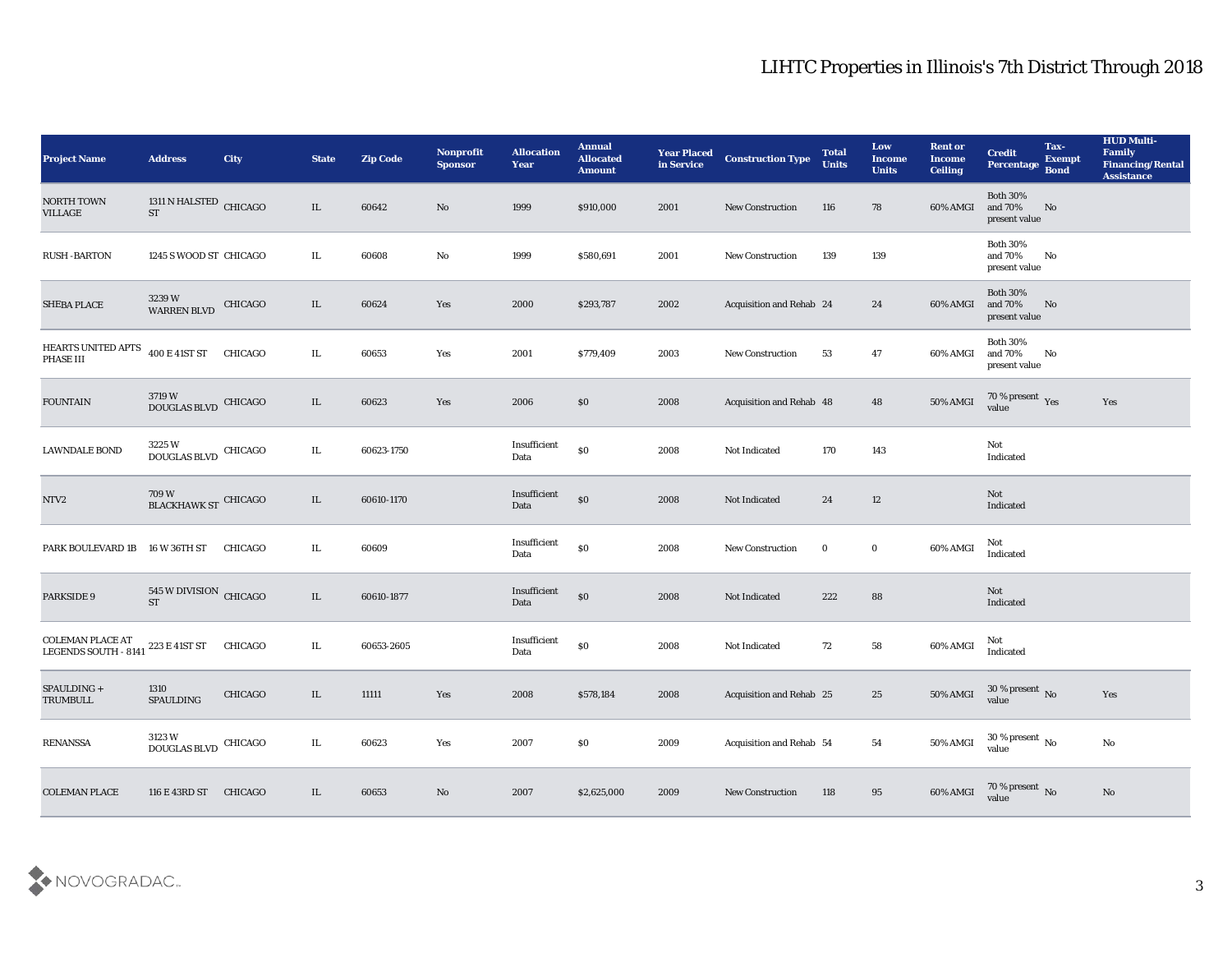| <b>Project Name</b>                      | <b>Address</b>                                                  | <b>City</b>    | <b>State</b> | <b>Zip Code</b> | Nonprofit<br><b>Sponsor</b> | <b>Allocation</b><br><b>Year</b> | <b>Annual</b><br><b>Allocated</b><br><b>Amount</b> | <b>Year Placed<br/>in Service</b> | <b>Construction Type</b>        | <b>Total</b><br><b>Units</b> | Low<br><b>Income</b><br><b>Units</b> | <b>Rent or</b><br><b>Income</b><br><b>Ceiling</b> | <b>Credit</b><br>Percentage                 | Tax-<br><b>Exempt</b><br><b>Bond</b> | <b>HUD Multi-</b><br>Family<br><b>Financing/Rental</b><br><b>Assistance</b> |
|------------------------------------------|-----------------------------------------------------------------|----------------|--------------|-----------------|-----------------------------|----------------------------------|----------------------------------------------------|-----------------------------------|---------------------------------|------------------------------|--------------------------------------|---------------------------------------------------|---------------------------------------------|--------------------------------------|-----------------------------------------------------------------------------|
| <b>NORTH TOWN</b><br><b>VILLAGE</b>      | 1311 N HALSTED CHICAGO<br><b>ST</b>                             |                | IL           | 60642           | No                          | 1999                             | \$910,000                                          | 2001                              | <b>New Construction</b>         | 116                          | 78                                   | 60% AMGI                                          | <b>Both 30%</b><br>and 70%<br>present value | No                                   |                                                                             |
| <b>RUSH-BARTON</b>                       | 1245 S WOOD ST CHICAGO                                          |                | IL           | 60608           | No                          | 1999                             | \$580,691                                          | 2001                              | <b>New Construction</b>         | 139                          | 139                                  |                                                   | <b>Both 30%</b><br>and 70%<br>present value | No                                   |                                                                             |
| <b>SHEBA PLACE</b>                       | $3239\ \mathrm{W}$ WARREN BLVD                                  | CHICAGO        | IL           | 60624           | Yes                         | 2000                             | \$293,787                                          | 2002                              | Acquisition and Rehab 24        |                              | 24                                   | 60% AMGI                                          | <b>Both 30%</b><br>and 70%<br>present value | No                                   |                                                                             |
| HEARTS UNITED APTS<br>PHASE III          | 400 E 41ST ST                                                   | <b>CHICAGO</b> | $\rm IL$     | 60653           | Yes                         | 2001                             | \$779,409                                          | 2003                              | <b>New Construction</b>         | 53                           | 47                                   | 60% AMGI                                          | <b>Both 30%</b><br>and 70%<br>present value | No                                   |                                                                             |
| <b>FOUNTAIN</b>                          | $3719\,\mathrm{W}$ DOUGLAS BLVD                                 | CHICAGO        | IL           | 60623           | Yes                         | 2006                             | \$0                                                | 2008                              | Acquisition and Rehab 48        |                              | 48                                   | 50% AMGI                                          | $70\,\%$ present $\,$ Yes value             |                                      | Yes                                                                         |
| <b>LAWNDALE BOND</b>                     | 3225 W<br>DOUGLAS BLVD CHICAGO                                  |                | IL           | 60623-1750      |                             | Insufficient<br>Data             | $\$0$                                              | 2008                              | Not Indicated                   | 170                          | 143                                  |                                                   | Not<br>Indicated                            |                                      |                                                                             |
| NTV2                                     | $709\,\mathrm{W}$ BLACKHAWK ST $\overline{\phantom{a}}$ CHICAGO |                | IL           | 60610-1170      |                             | Insufficient<br>Data             | $\boldsymbol{\mathsf{S}}\boldsymbol{\mathsf{O}}$   | 2008                              | Not Indicated                   | 24                           | 12                                   |                                                   | Not<br>Indicated                            |                                      |                                                                             |
| PARK BOULEVARD 1B                        | 16 W 36TH ST                                                    | CHICAGO        | IL           | 60609           |                             | Insufficient<br>Data             | $\$0$                                              | 2008                              | <b>New Construction</b>         | $\bf{0}$                     | $\bf{0}$                             | 60% AMGI                                          | Not<br>Indicated                            |                                      |                                                                             |
| PARKSIDE 9                               | 545 W DIVISION CHICAGO<br><b>ST</b>                             |                | IL           | 60610-1877      |                             | Insufficient<br>Data             | $\$0$                                              | 2008                              | Not Indicated                   | 222                          | 88                                   |                                                   | Not<br>Indicated                            |                                      |                                                                             |
| COLEMAN PLACE AT<br>LEGENDS SOUTH - 8141 | 223 E 41ST ST                                                   | CHICAGO        | IL           | 60653-2605      |                             | Insufficient<br>Data             | $\$0$                                              | 2008                              | Not Indicated                   | 72                           | 58                                   | 60% AMGI                                          | Not<br>Indicated                            |                                      |                                                                             |
| SPAULDING +<br><b>TRUMBULL</b>           | 1310<br><b>SPAULDING</b>                                        | CHICAGO        | IL.          | 11111           | Yes                         | 2008                             | \$578,184                                          | 2008                              | <b>Acquisition and Rehab 25</b> |                              | 25                                   | 50% AMGI                                          | 30 % present No<br>value                    |                                      | Yes                                                                         |
| <b>RENANSSA</b>                          | 3123 W<br>DOUGLAS BLVD CHICAGO                                  |                | $\rm IL$     | 60623           | Yes                         | 2007                             | \$0                                                | 2009                              | Acquisition and Rehab 54        |                              | 54                                   | 50% AMGI                                          | $30\,\%$ present $\,$ No value              |                                      | ${\bf No}$                                                                  |
| <b>COLEMAN PLACE</b>                     | 116 E 43RD ST                                                   | <b>CHICAGO</b> | IL           | 60653           | $\rm\thinspace No$          | 2007                             | \$2,625,000                                        | 2009                              | New Construction                | 118                          | 95                                   | 60% AMGI                                          | $70\,\%$ present $\,$ No value              |                                      | $\rm\thinspace No$                                                          |

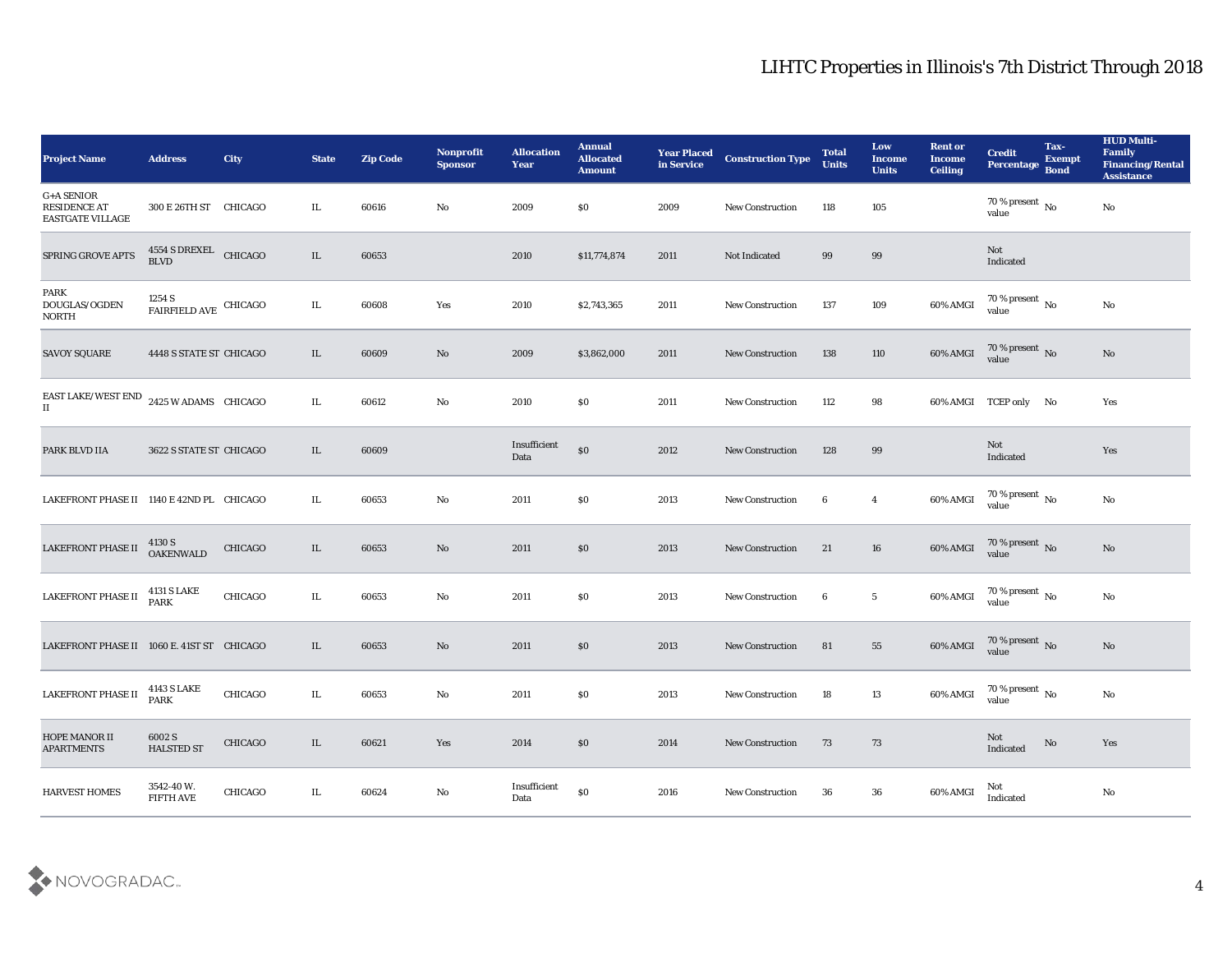| <b>Project Name</b>                                                              | <b>Address</b>                    | City           | <b>State</b> | <b>Zip Code</b> | Nonprofit<br><b>Sponsor</b> | <b>Allocation</b><br><b>Year</b> | <b>Annual</b><br><b>Allocated</b><br><b>Amount</b> | <b>Year Placed</b><br>in Service | <b>Construction Type</b> | <b>Total</b><br><b>Units</b> | Low<br><b>Income</b><br><b>Units</b> | <b>Rent or</b><br><b>Income</b><br><b>Ceiling</b> | <b>Credit</b><br>Percentage Bond       | Tax-<br><b>Exempt</b> | <b>HUD Multi-</b><br>Family<br><b>Financing/Rental</b><br><b>Assistance</b> |
|----------------------------------------------------------------------------------|-----------------------------------|----------------|--------------|-----------------|-----------------------------|----------------------------------|----------------------------------------------------|----------------------------------|--------------------------|------------------------------|--------------------------------------|---------------------------------------------------|----------------------------------------|-----------------------|-----------------------------------------------------------------------------|
| $\texttt{G+}\texttt{A}$ SENIOR<br><b>RESIDENCE AT</b><br><b>EASTGATE VILLAGE</b> | 300 E 26TH ST CHICAGO             |                | IL           | 60616           | No                          | 2009                             | $\$0$                                              | 2009                             | <b>New Construction</b>  | 118                          | 105                                  |                                                   | $70\,\%$ present $\,$ No $\,$<br>value |                       | No                                                                          |
| SPRING GROVE APTS                                                                | $4554$ S DREXEL CHICAGO BLVD      |                | IL           | 60653           |                             | 2010                             | \$11,774,874                                       | 2011                             | Not Indicated            | 99                           | 99                                   |                                                   | Not<br>Indicated                       |                       |                                                                             |
| PARK<br>DOUGLAS/OGDEN<br><b>NORTH</b>                                            | 1254 S<br>FAIRFIELD AVE CHICAGO   |                | IL           | 60608           | Yes                         | 2010                             | \$2,743,365                                        | 2011                             | <b>New Construction</b>  | 137                          | 109                                  | 60% AMGI                                          | $70\,\%$ present $\,$ No value         |                       | No                                                                          |
| <b>SAVOY SQUARE</b>                                                              | 4448 S STATE ST CHICAGO           |                | IL           | 60609           | No                          | 2009                             | \$3,862,000                                        | 2011                             | <b>New Construction</b>  | 138                          | 110                                  | 60% AMGI                                          | $70\,\%$ present $\,$ No value         |                       | No                                                                          |
| EAST LAKE/WEST END $\,$ 2425 W ADAMS $\,$ CHICAGO $\,$<br>$\scriptstyle\rm II$   |                                   |                | IL           | 60612           | No                          | 2010                             | \$0                                                | 2011                             | <b>New Construction</b>  | 112                          | 98                                   |                                                   | 60% AMGI TCEP only No                  |                       | Yes                                                                         |
| PARK BLVD IIA                                                                    | 3622 S STATE ST CHICAGO           |                | IL           | 60609           |                             | Insufficient<br>Data             | \$0                                                | 2012                             | <b>New Construction</b>  | 128                          | 99                                   |                                                   | Not<br>Indicated                       |                       | Yes                                                                         |
| LAKEFRONT PHASE II 1140 E 42ND PL CHICAGO                                        |                                   |                | IL           | 60653           | No                          | 2011                             | \$0                                                | 2013                             | <b>New Construction</b>  | 6                            | $\overline{\mathbf{4}}$              | 60% AMGI                                          | $70\,\%$ present $\,$ No value         |                       | $\rm\, No$                                                                  |
| LAKEFRONT PHASE II                                                               | 4130 S<br><b>OAKENWALD</b>        | <b>CHICAGO</b> | IL           | 60653           | No                          | 2011                             | \$0                                                | 2013                             | <b>New Construction</b>  | 21                           | 16                                   | 60% AMGI                                          | $70\%$ present No<br>value             |                       | No                                                                          |
| LAKEFRONT PHASE II                                                               | <b>4131 S LAKE</b><br><b>PARK</b> | CHICAGO        | IL           | 60653           | No                          | 2011                             | \$0                                                | 2013                             | <b>New Construction</b>  | 6                            | $5\phantom{.0}$                      | 60% AMGI                                          | $70\,\%$ present $\,$ No value         |                       | $\rm\, No$                                                                  |
| LAKEFRONT PHASE II 1060 E. 41ST ST CHICAGO                                       |                                   |                | IL           | 60653           | No                          | 2011                             | \$0                                                | 2013                             | <b>New Construction</b>  | 81                           | 55                                   | 60% AMGI                                          | $70\,\%$ present $\,$ No value         |                       | $\rm\thinspace No$                                                          |
| LAKEFRONT PHASE II                                                               | 4143 S LAKE<br><b>PARK</b>        | CHICAGO        | IL.          | 60653           | No                          | 2011                             | $\$0$                                              | 2013                             | <b>New Construction</b>  | 18                           | 13                                   | 60% AMGI                                          | 70 % present $\,$ No $\,$<br>value     |                       | No                                                                          |
| HOPE MANOR II<br><b>APARTMENTS</b>                                               | 6002 S<br><b>HALSTED ST</b>       | CHICAGO        | IL           | 60621           | Yes                         | 2014                             | $\$0$                                              | 2014                             | New Construction         | 73                           | $73\,$                               |                                                   | Not<br>Indicated                       | $\rm \bf No$          | Yes                                                                         |
| <b>HARVEST HOMES</b>                                                             | 3542-40W.<br><b>FIFTH AVE</b>     | CHICAGO        | IL           | 60624           | $\mathbf {No}$              | Insufficient<br>Data             | $\boldsymbol{\mathsf{S}}\boldsymbol{\mathsf{0}}$   | 2016                             | <b>New Construction</b>  | 36                           | ${\bf 36}$                           | 60% AMGI                                          | Not<br>Indicated                       |                       | $\mathbf {No}$                                                              |

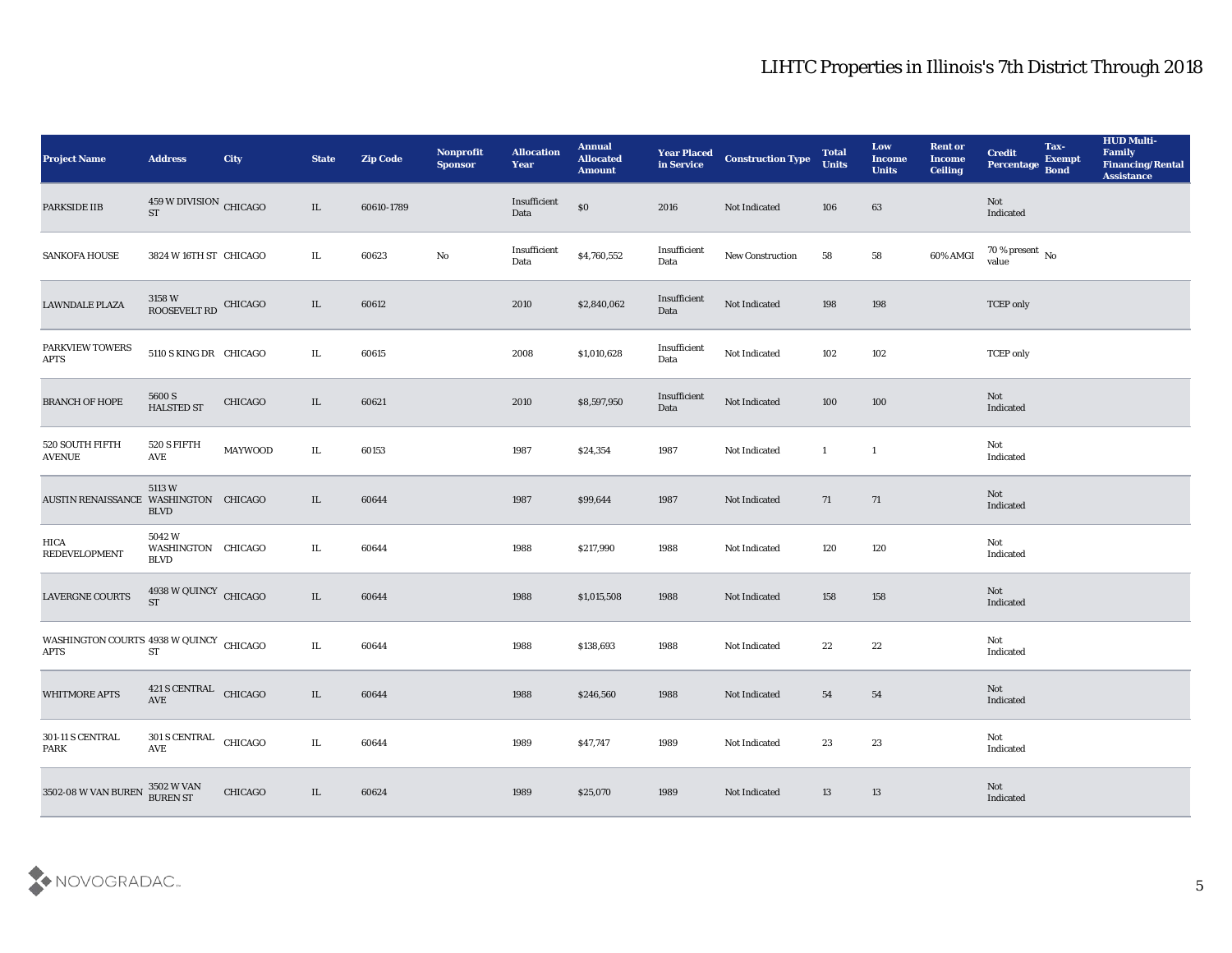| <b>Project Name</b>                               | <b>Address</b>                                | City           | <b>State</b> | <b>Zip Code</b> | Nonprofit<br><b>Sponsor</b> | <b>Allocation</b><br><b>Year</b> | <b>Annual</b><br><b>Allocated</b><br><b>Amount</b> | <b>Year Placed</b><br>in Service | <b>Construction Type</b> | <b>Total</b><br><b>Units</b> | Low<br><b>Income</b><br><b>Units</b> | <b>Rent or</b><br><b>Income</b><br><b>Ceiling</b> | <b>Credit</b><br>Percentage  | Tax-<br><b>Exempt</b><br><b>Bond</b> | <b>HUD Multi-</b><br>Family<br><b>Financing/Rental</b><br><b>Assistance</b> |
|---------------------------------------------------|-----------------------------------------------|----------------|--------------|-----------------|-----------------------------|----------------------------------|----------------------------------------------------|----------------------------------|--------------------------|------------------------------|--------------------------------------|---------------------------------------------------|------------------------------|--------------------------------------|-----------------------------------------------------------------------------|
| PARKSIDE IIB                                      | $459\,\rm{W}$ DIVISION $\,$ CHICAGO ST        |                | IL           | 60610-1789      |                             | Insufficient<br>Data             | $\$0$                                              | 2016                             | Not Indicated            | 106                          | 63                                   |                                                   | Not<br>Indicated             |                                      |                                                                             |
| <b>SANKOFA HOUSE</b>                              | 3824 W 16TH ST CHICAGO                        |                | IL           | 60623           | No                          | Insufficient<br>Data             | \$4,760,552                                        | Insufficient<br>Data             | New Construction         | 58                           | 58                                   | 60% AMGI                                          | $70$ % present $\,$ No value |                                      |                                                                             |
| <b>LAWNDALE PLAZA</b>                             | $3158\ \rm{W}$ ROOSEVELT RD $\,$ CHICAGO $\,$ |                | IL           | 60612           |                             | 2010                             | \$2,840,062                                        | Insufficient<br>Data             | Not Indicated            | 198                          | 198                                  |                                                   | <b>TCEP</b> only             |                                      |                                                                             |
| PARKVIEW TOWERS<br><b>APTS</b>                    | 5110 S KING DR CHICAGO                        |                | IL           | 60615           |                             | 2008                             | \$1,010,628                                        | Insufficient<br>Data             | Not Indicated            | 102                          | 102                                  |                                                   | <b>TCEP</b> only             |                                      |                                                                             |
| <b>BRANCH OF HOPE</b>                             | 5600 S<br><b>HALSTED ST</b>                   | <b>CHICAGO</b> | IL           | 60621           |                             | 2010                             | \$8,597,950                                        | Insufficient<br>Data             | Not Indicated            | 100                          | 100                                  |                                                   | Not<br>Indicated             |                                      |                                                                             |
| 520 SOUTH FIFTH<br><b>AVENUE</b>                  | 520 S FIFTH<br>AVE                            | <b>MAYWOOD</b> | IL           | 60153           |                             | 1987                             | \$24,354                                           | 1987                             | Not Indicated            | $\mathbf{1}$                 | $\overline{1}$                       |                                                   | Not<br>Indicated             |                                      |                                                                             |
| AUSTIN RENAISSANCE WASHINGTON CHICAGO             | 5113W<br><b>BLVD</b>                          |                | IL           | 60644           |                             | 1987                             | \$99,644                                           | 1987                             | Not Indicated            | 71                           | 71                                   |                                                   | Not<br>Indicated             |                                      |                                                                             |
| HICA<br><b>REDEVELOPMENT</b>                      | 5042W<br>WASHINGTON CHICAGO<br><b>BLVD</b>    |                | IL           | 60644           |                             | 1988                             | \$217,990                                          | 1988                             | Not Indicated            | 120                          | 120                                  |                                                   | Not<br>Indicated             |                                      |                                                                             |
| LAVERGNE COURTS                                   | 4938 W QUINCY CHICAGO<br><b>ST</b>            |                | IL           | 60644           |                             | 1988                             | \$1,015,508                                        | 1988                             | Not Indicated            | 158                          | 158                                  |                                                   | Not<br>Indicated             |                                      |                                                                             |
| WASHINGTON COURTS $4938$ W QUINCY CHICAGO<br>APTS | ${\cal S}{\cal T}$                            |                | IL           | 60644           |                             | 1988                             | \$138,693                                          | 1988                             | Not Indicated            | 22                           | 22                                   |                                                   | Not<br>Indicated             |                                      |                                                                             |
| <b>WHITMORE APTS</b>                              | 421 S CENTRAL CHICAGO<br>$\operatorname{AVE}$ |                | IL           | 60644           |                             | 1988                             | \$246,560                                          | 1988                             | Not Indicated            | 54                           | 54                                   |                                                   | Not<br>Indicated             |                                      |                                                                             |
| 301-11 S CENTRAL<br>PARK                          | 301 S CENTRAL CHICAGO<br>AVE                  |                | $\rm IL$     | 60644           |                             | 1989                             | \$47,747                                           | 1989                             | Not Indicated            | 23                           | $\bf 23$                             |                                                   | Not<br>Indicated             |                                      |                                                                             |
| 3502-08 W VAN BUREN                               | $3502$ W VAN BUREN ST                         | CHICAGO        | IL           | 60624           |                             | 1989                             | \$25,070                                           | 1989                             | Not Indicated            | 13                           | 13                                   |                                                   | <b>Not</b><br>Indicated      |                                      |                                                                             |

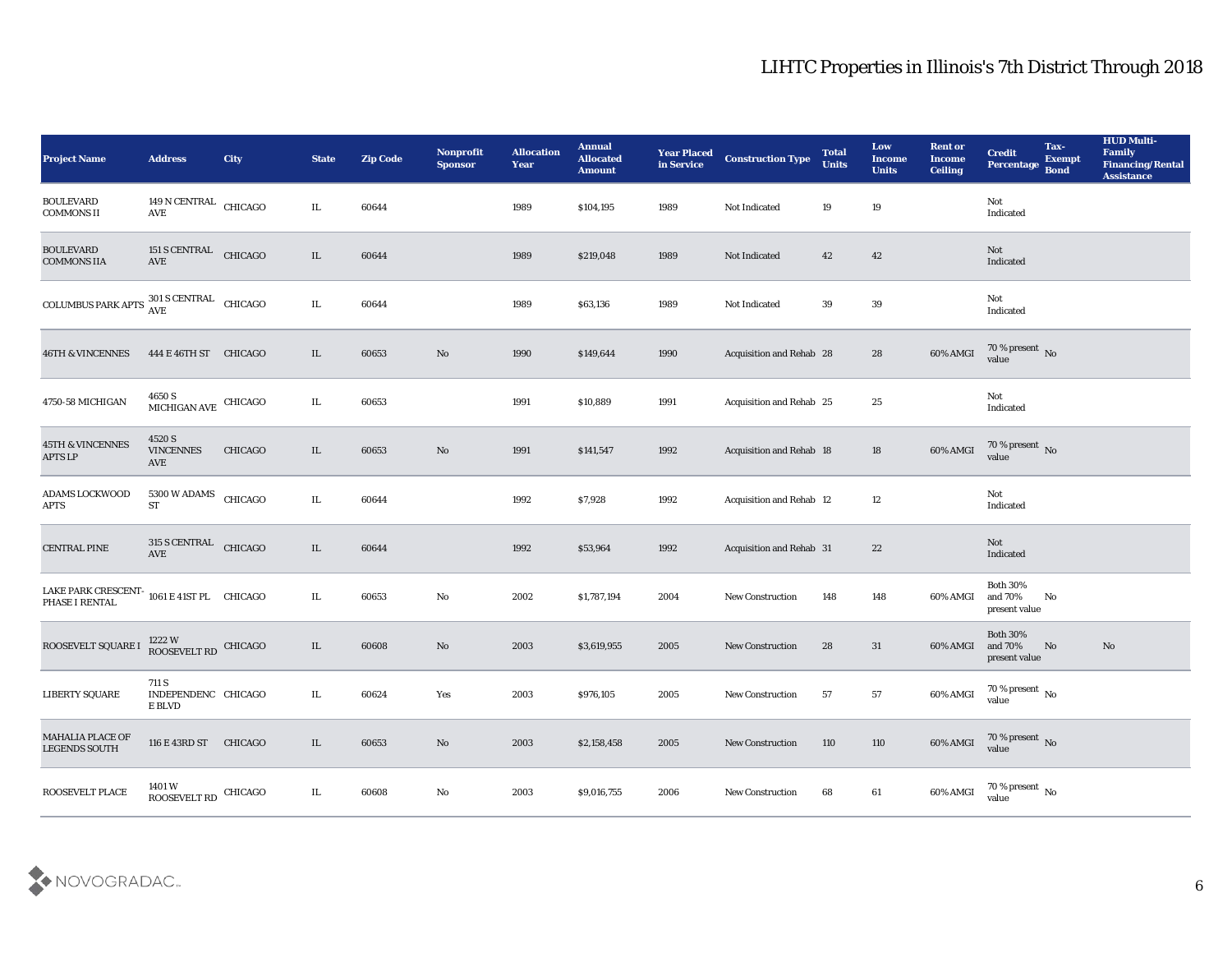| <b>Project Name</b>                                                          | <b>Address</b>                                    | <b>City</b> | <b>State</b> | <b>Zip Code</b> | <b>Nonprofit</b><br><b>Sponsor</b> | <b>Allocation</b><br><b>Year</b> | <b>Annual</b><br><b>Allocated</b><br><b>Amount</b> | <b>Year Placed</b><br>in Service | <b>Construction Type</b>        | <b>Total</b><br><b>Units</b> | Low<br><b>Income</b><br><b>Units</b> | <b>Rent or</b><br><b>Income</b><br><b>Ceiling</b> | <b>Credit</b><br>Percentage                 | Tax-<br><b>Exempt</b><br><b>Bond</b> | <b>HUD Multi-</b><br>Family<br><b>Financing/Rental</b><br><b>Assistance</b> |
|------------------------------------------------------------------------------|---------------------------------------------------|-------------|--------------|-----------------|------------------------------------|----------------------------------|----------------------------------------------------|----------------------------------|---------------------------------|------------------------------|--------------------------------------|---------------------------------------------------|---------------------------------------------|--------------------------------------|-----------------------------------------------------------------------------|
| <b>BOULEVARD</b><br><b>COMMONS II</b>                                        | 149 N CENTRAL CHICAGO<br>$\operatorname{AVE}$     |             | IL           | 60644           |                                    | 1989                             | \$104,195                                          | 1989                             | Not Indicated                   | 19                           | 19                                   |                                                   | Not<br>Indicated                            |                                      |                                                                             |
| <b>BOULEVARD</b><br><b>COMMONS IIA</b>                                       | 151 S CENTRAL<br>AVE                              | CHICAGO     | IL           | 60644           |                                    | 1989                             | \$219,048                                          | 1989                             | Not Indicated                   | 42                           | 42                                   |                                                   | Not<br>Indicated                            |                                      |                                                                             |
| COLUMBUS PARK APTS $\frac{\text{301 S} \text{ CENTRAL}}{\text{AVE}}$ CHICAGO |                                                   |             | IL           | 60644           |                                    | 1989                             | \$63,136                                           | 1989                             | Not Indicated                   | 39                           | 39                                   |                                                   | Not<br>Indicated                            |                                      |                                                                             |
| <b>46TH &amp; VINCENNES</b>                                                  | 444 E 46TH ST CHICAGO                             |             | IL           | 60653           | $\rm\thinspace No$                 | 1990                             | \$149,644                                          | 1990                             | Acquisition and Rehab 28        |                              | 28                                   | 60% AMGI                                          | $70\,\%$ present $\,$ No value              |                                      |                                                                             |
| 4750-58 MICHIGAN                                                             | 4650 S<br>MICHIGAN AVE CHICAGO                    |             | IL           | 60653           |                                    | 1991                             | \$10,889                                           | 1991                             | Acquisition and Rehab 25        |                              | 25                                   |                                                   | Not<br>Indicated                            |                                      |                                                                             |
| <b>45TH &amp; VINCENNES</b><br><b>APTS LP</b>                                | 4520 S<br><b>VINCENNES</b><br>AVE                 | CHICAGO     | IL           | 60653           | No                                 | 1991                             | \$141,547                                          | 1992                             | Acquisition and Rehab 18        |                              | 18                                   | 60% AMGI                                          | $70\,\%$ present $\,$ No value              |                                      |                                                                             |
| ADAMS LOCKWOOD<br><b>APTS</b>                                                | 5300 W ADAMS CHICAGO<br><b>ST</b>                 |             | IL.          | 60644           |                                    | 1992                             | \$7,928                                            | 1992                             | Acquisition and Rehab 12        |                              | 12                                   |                                                   | Not<br>Indicated                            |                                      |                                                                             |
| <b>CENTRAL PINE</b>                                                          | <b>315 S CENTRAL</b><br>AVE                       | CHICAGO     | IL           | 60644           |                                    | 1992                             | \$53,964                                           | 1992                             | <b>Acquisition and Rehab 31</b> |                              | 22                                   |                                                   | Not<br>Indicated                            |                                      |                                                                             |
| LAKE PARK CRESCENT-<br>PHASE I RENTAL                                        | 1061 E 41ST PL CHICAGO                            |             | $\rm IL$     | 60653           | $\rm\thinspace No$                 | 2002                             | \$1,787,194                                        | 2004                             | <b>New Construction</b>         | 148                          | 148                                  | 60% AMGI                                          | <b>Both 30%</b><br>and 70%<br>present value | No                                   |                                                                             |
| ROOSEVELT SQUARE I                                                           | $1222\ \mathrm{W}$ ROOSEVELT RD $\,$ CHICAGO $\,$ |             | IL           | 60608           | No                                 | 2003                             | \$3,619,955                                        | 2005                             | <b>New Construction</b>         | 28                           | 31                                   | 60% AMGI                                          | <b>Both 30%</b><br>and 70%<br>present value | No                                   | No                                                                          |
| <b>LIBERTY SQUARE</b>                                                        | 711 S<br>INDEPENDENC CHICAGO<br>E BLVD            |             | IL.          | 60624           | Yes                                | 2003                             | \$976,105                                          | 2005                             | <b>New Construction</b>         | 57                           | 57                                   | 60% AMGI                                          | 70 % present $\,$ No $\,$<br>value          |                                      |                                                                             |
| MAHALIA PLACE OF<br><b>LEGENDS SOUTH</b>                                     | 116 E 43RD ST CHICAGO                             |             | $\rm IL$     | 60653           | $\rm\thinspace No$                 | 2003                             | \$2,158,458                                        | 2005                             | New Construction                | 110                          | 110                                  | 60% AMGI                                          | $70\,\%$ present $\,$ No value              |                                      |                                                                             |
| ROOSEVELT PLACE                                                              | $1401\,\mathrm{W}$ ROOSEVELT RD CHICAGO           |             | IL           | 60608           | ${\bf No}$                         | 2003                             | \$9,016,755                                        | 2006                             | New Construction                | 68                           | 61                                   | 60% AMGI                                          | $70\,\%$ present $\,$ No value              |                                      |                                                                             |

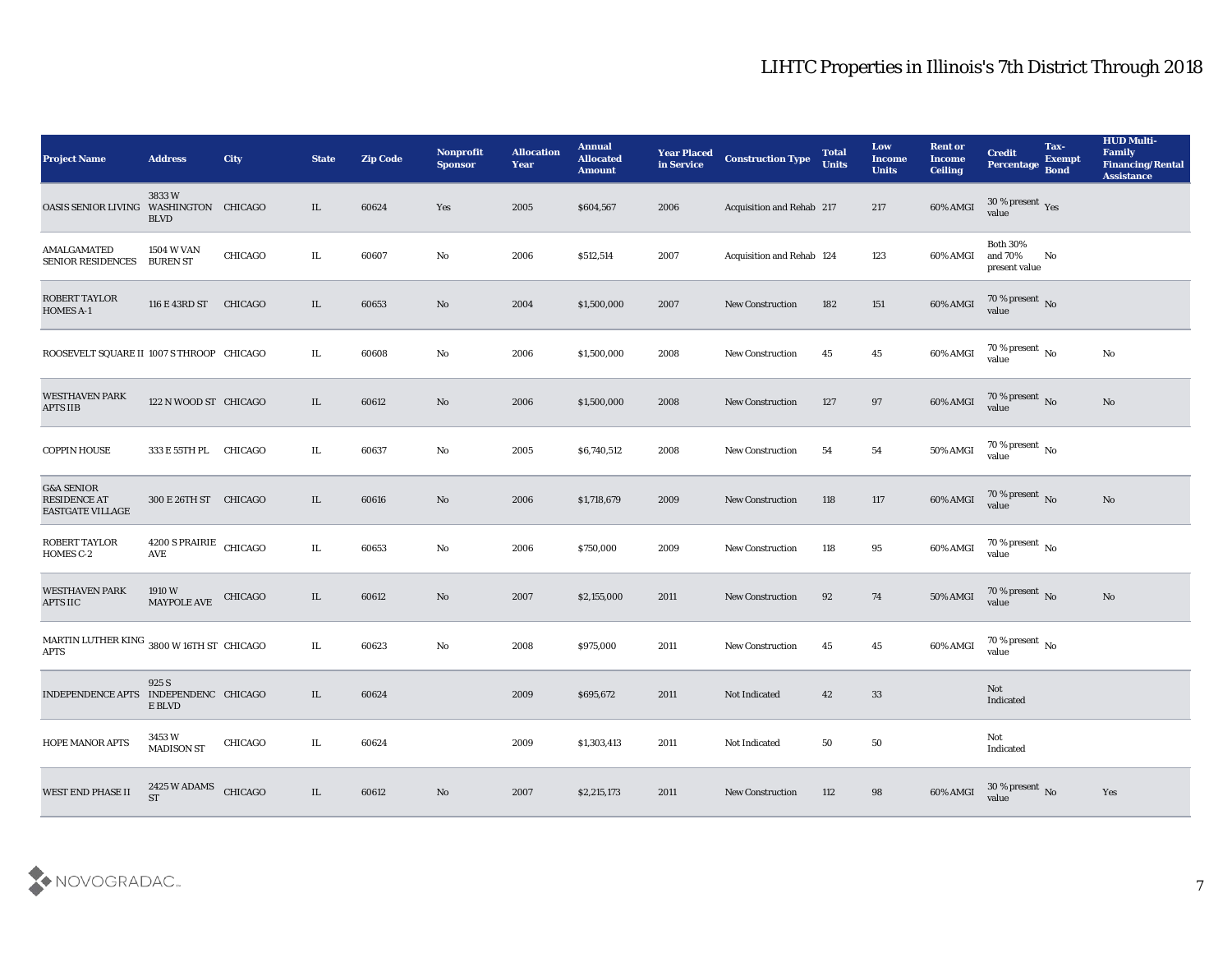| <b>Project Name</b>                                                     | <b>Address</b>                       | City    | <b>State</b> | <b>Zip Code</b> | Nonprofit<br><b>Sponsor</b> | <b>Allocation</b><br><b>Year</b> | <b>Annual</b><br><b>Allocated</b><br><b>Amount</b> | <b>Year Placed</b><br>in Service | <b>Construction Type</b>  | <b>Total</b><br><b>Units</b> | Low<br><b>Income</b><br><b>Units</b> | <b>Rent or</b><br><b>Income</b><br><b>Ceiling</b> | <b>Credit</b><br>Percentage                 | Tax-<br><b>Exempt</b><br><b>Bond</b> | <b>HUD Multi-</b><br>Family<br><b>Financing/Rental</b><br><b>Assistance</b> |
|-------------------------------------------------------------------------|--------------------------------------|---------|--------------|-----------------|-----------------------------|----------------------------------|----------------------------------------------------|----------------------------------|---------------------------|------------------------------|--------------------------------------|---------------------------------------------------|---------------------------------------------|--------------------------------------|-----------------------------------------------------------------------------|
| OASIS SENIOR LIVING WASHINGTON CHICAGO                                  | 3833W<br><b>BLVD</b>                 |         | IL           | 60624           | Yes                         | 2005                             | \$604,567                                          | 2006                             | Acquisition and Rehab 217 |                              | 217                                  | 60% AMGI                                          | $30\,\%$ present $\,$ Yes value             |                                      |                                                                             |
| <b>AMALGAMATED</b><br><b>SENIOR RESIDENCES</b>                          | <b>1504 W VAN</b><br><b>BUREN ST</b> | CHICAGO | IL           | 60607           | No                          | 2006                             | \$512,514                                          | 2007                             | Acquisition and Rehab 124 |                              | 123                                  | 60% AMGI                                          | <b>Both 30%</b><br>and 70%<br>present value | No                                   |                                                                             |
| ROBERT TAYLOR<br><b>HOMES A-1</b>                                       | 116 E 43RD ST                        | CHICAGO | IL           | 60653           | No                          | 2004                             | \$1,500,000                                        | 2007                             | <b>New Construction</b>   | 182                          | 151                                  | $60\%$ AMGI                                       | $70\,\%$ present $\,$ No value              |                                      |                                                                             |
| ROOSEVELT SQUARE II 1007 S THROOP CHICAGO                               |                                      |         | IL           | 60608           | No                          | 2006                             | \$1,500,000                                        | 2008                             | <b>New Construction</b>   | 45                           | 45                                   | $60\%$ AMGI                                       | $70\,\%$ present $\,$ No value              |                                      | $\rm\thinspace No$                                                          |
| <b>WESTHAVEN PARK</b><br><b>APTS IIB</b>                                | 122 N WOOD ST CHICAGO                |         | IL           | 60612           | No                          | 2006                             | \$1,500,000                                        | 2008                             | <b>New Construction</b>   | 127                          | 97                                   | 60% AMGI                                          | $70\,\%$ present $\,$ No value              |                                      | No                                                                          |
| <b>COPPIN HOUSE</b>                                                     | 333 E 55TH PL                        | CHICAGO | IL           | 60637           | No                          | 2005                             | \$6,740,512                                        | 2008                             | <b>New Construction</b>   | 54                           | 54                                   | <b>50% AMGI</b>                                   | $70\,\%$ present $\,$ No value              |                                      |                                                                             |
| <b>G&amp;A SENIOR</b><br><b>RESIDENCE AT</b><br><b>EASTGATE VILLAGE</b> | 300 E 26TH ST CHICAGO                |         | IL           | 60616           | No                          | 2006                             | \$1,718,679                                        | 2009                             | <b>New Construction</b>   | 118                          | 117                                  | 60% AMGI                                          | 70 % present No<br>value                    |                                      | No                                                                          |
| <b>ROBERT TAYLOR</b><br>HOMES C-2                                       | 4200 S PRAIRIE CHICAGO<br>AVE        |         | IL.          | 60653           | No                          | 2006                             | \$750,000                                          | 2009                             | <b>New Construction</b>   | 118                          | 95                                   | 60% AMGI                                          | 70 % present $\,$ No $\,$<br>value          |                                      |                                                                             |
| <b>WESTHAVEN PARK</b><br><b>APTS IIC</b>                                | 1910 W<br><b>MAYPOLE AVE</b>         | CHICAGO | IL           | 60612           | No                          | 2007                             | \$2,155,000                                        | 2011                             | <b>New Construction</b>   | 92                           | 74                                   | <b>50% AMGI</b>                                   | $70\,\%$ present $\,$ No value              |                                      | $\rm\thinspace No$                                                          |
| MARTIN LUTHER KING $\,$ 3800 W 16TH ST $\,$ CHICAGO $\,$<br><b>APTS</b> |                                      |         | IL           | 60623           | No                          | 2008                             | \$975,000                                          | 2011                             | <b>New Construction</b>   | 45                           | 45                                   | $60\%$ AMGI                                       | $70\,\%$ present $\,$ No value              |                                      |                                                                             |
| INDEPENDENCE APTS INDEPENDENC CHICAGO                                   | 925 S<br>E BLVD                      |         | IL.          | 60624           |                             | 2009                             | \$695,672                                          | 2011                             | Not Indicated             | 42                           | 33                                   |                                                   | Not<br>Indicated                            |                                      |                                                                             |
| HOPE MANOR APTS                                                         | 3453 W<br>MADISON ST                 | CHICAGO | IL           | 60624           |                             | 2009                             | \$1,303,413                                        | 2011                             | Not Indicated             | 50                           | 50                                   |                                                   | Not<br>Indicated                            |                                      |                                                                             |
| WEST END PHASE II                                                       | 2425 W ADAMS<br><b>ST</b>            | CHICAGO | IL           | 60612           | $\rm\thinspace No$          | 2007                             | \$2,215,173                                        | 2011                             | <b>New Construction</b>   | 112                          | $\bf{98}$                            | 60% AMGI                                          | $30\,\%$ present $\,$ No value              |                                      | Yes                                                                         |

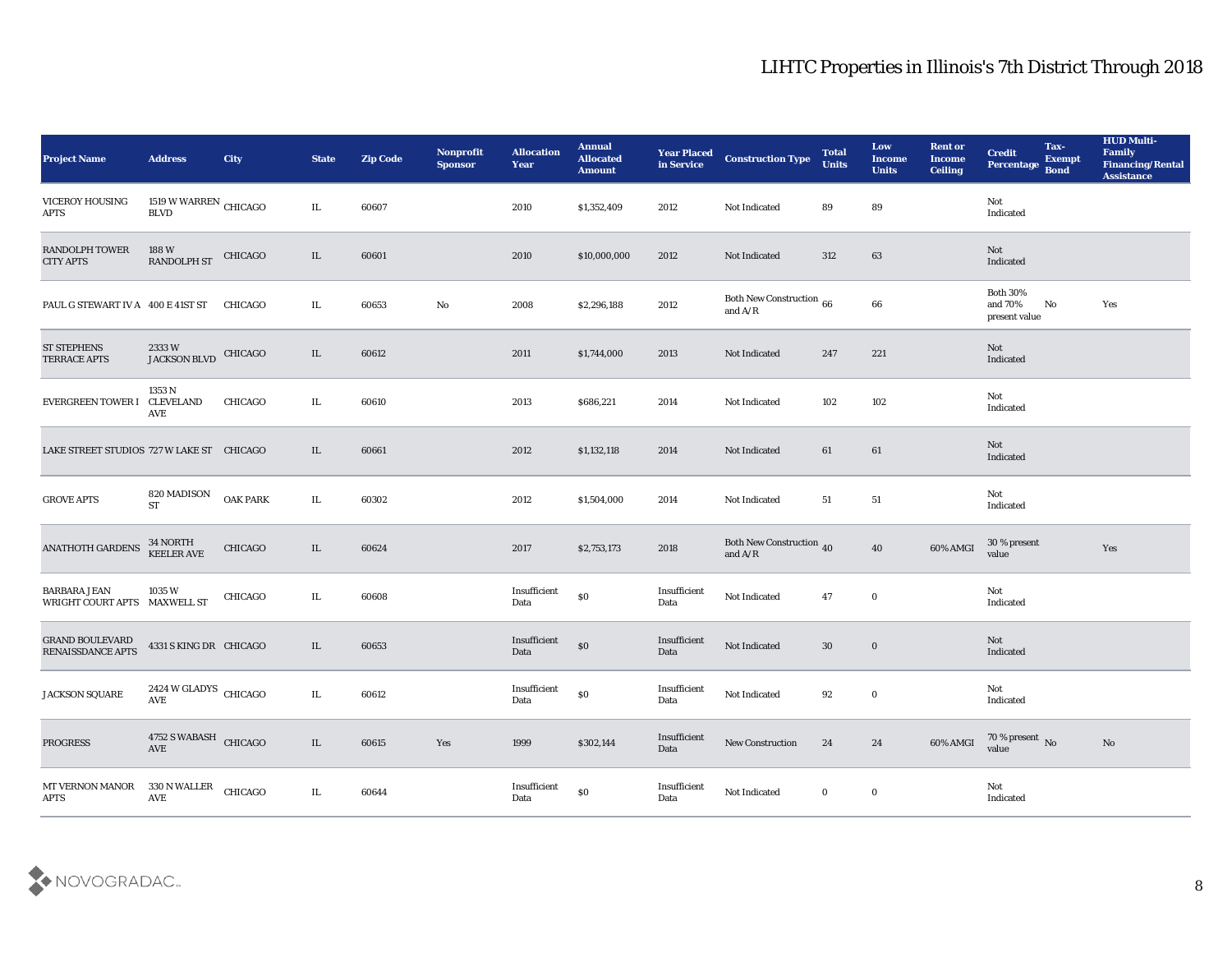| <b>Project Name</b>                                 | <b>Address</b>                                 | <b>City</b>     | <b>State</b> | <b>Zip Code</b> | Nonprofit<br><b>Sponsor</b> | <b>Allocation</b><br><b>Year</b> | <b>Annual</b><br><b>Allocated</b><br><b>Amount</b> | <b>Year Placed</b><br>in Service | <b>Construction Type</b>                                                          | <b>Total</b><br><b>Units</b> | Low<br><b>Income</b><br><b>Units</b> | <b>Rent or</b><br><b>Income</b><br><b>Ceiling</b> | <b>Credit</b><br>Percentage Bond            | Tax-<br><b>Exempt</b> | <b>HUD Multi-</b><br>Family<br><b>Financing/Rental</b><br><b>Assistance</b> |
|-----------------------------------------------------|------------------------------------------------|-----------------|--------------|-----------------|-----------------------------|----------------------------------|----------------------------------------------------|----------------------------------|-----------------------------------------------------------------------------------|------------------------------|--------------------------------------|---------------------------------------------------|---------------------------------------------|-----------------------|-----------------------------------------------------------------------------|
| <b>VICEROY HOUSING</b><br><b>APTS</b>               | 1519 W WARREN $\,$ CHICAGO $\,$<br><b>BLVD</b> |                 | IL.          | 60607           |                             | 2010                             | \$1,352,409                                        | 2012                             | Not Indicated                                                                     | 89                           | 89                                   |                                                   | Not<br>Indicated                            |                       |                                                                             |
| <b>RANDOLPH TOWER</b><br><b>CITY APTS</b>           | 188 W<br>RANDOLPH ST                           | CHICAGO         | IL           | 60601           |                             | 2010                             | \$10,000,000                                       | 2012                             | Not Indicated                                                                     | 312                          | 63                                   |                                                   | Not<br>Indicated                            |                       |                                                                             |
| PAUL G STEWART IV A 400 E 41ST ST                   |                                                | CHICAGO         | IL           | 60653           | No                          | 2008                             | \$2,296,188                                        | 2012                             | Both New Construction 66<br>and $\ensuremath{\mathrm{A}}/\ensuremath{\mathrm{R}}$ |                              | 66                                   |                                                   | <b>Both 30%</b><br>and 70%<br>present value | No                    | Yes                                                                         |
| <b>ST STEPHENS</b><br><b>TERRACE APTS</b>           | 2333W<br><b>JACKSON BLVD</b>                   | <b>CHICAGO</b>  | IL           | 60612           |                             | 2011                             | \$1,744,000                                        | 2013                             | Not Indicated                                                                     | 247                          | 221                                  |                                                   | Not<br>Indicated                            |                       |                                                                             |
| EVERGREEN TOWER I CLEVELAND                         | 1353 N<br>AVE                                  | CHICAGO         | IL           | 60610           |                             | 2013                             | \$686,221                                          | 2014                             | Not Indicated                                                                     | 102                          | 102                                  |                                                   | Not<br>Indicated                            |                       |                                                                             |
| LAKE STREET STUDIOS 727 W LAKE ST CHICAGO           |                                                |                 | IL           | 60661           |                             | 2012                             | \$1,132,118                                        | 2014                             | Not Indicated                                                                     | 61                           | 61                                   |                                                   | Not<br>Indicated                            |                       |                                                                             |
| <b>GROVE APTS</b>                                   | 820 MADISON<br><b>ST</b>                       | <b>OAK PARK</b> | IL           | 60302           |                             | 2012                             | \$1,504,000                                        | 2014                             | Not Indicated                                                                     | 51                           | 51                                   |                                                   | Not<br>Indicated                            |                       |                                                                             |
| <b>ANATHOTH GARDENS</b>                             | 34 NORTH<br><b>KEELER AVE</b>                  | CHICAGO         | IL           | 60624           |                             | 2017                             | \$2,753,173                                        | 2018                             | Both New Construction 40<br>and $\ensuremath{\mathrm{A}}/\ensuremath{\mathrm{R}}$ |                              | 40                                   | 60% AMGI                                          | 30 % present<br>value                       |                       | Yes                                                                         |
| <b>BARBARA JEAN</b><br>WRIGHT COURT APTS MAXWELL ST | 1035 W                                         | CHICAGO         | IL           | 60608           |                             | Insufficient<br>Data             | $\$0$                                              | Insufficient<br>Data             | Not Indicated                                                                     | 47                           | $\bf{0}$                             |                                                   | Not<br>Indicated                            |                       |                                                                             |
| <b>GRAND BOULEVARD</b><br><b>RENAISSDANCE APTS</b>  | 4331 S KING DR CHICAGO                         |                 | IL           | 60653           |                             | Insufficient<br>Data             | $\$0$                                              | Insufficient<br>Data             | Not Indicated                                                                     | 30                           | $\bf{0}$                             |                                                   | Not<br>Indicated                            |                       |                                                                             |
| JACKSON SQUARE                                      | 2424 W GLADYS CHICAGO<br>AVE                   |                 | IL.          | 60612           |                             | Insufficient<br>Data             | $\$0$                                              | Insufficient<br>Data             | Not Indicated                                                                     | 92                           | $\bf{0}$                             |                                                   | Not<br>Indicated                            |                       |                                                                             |
| <b>PROGRESS</b>                                     | 4752 S WABASH CHICAGO<br>$\operatorname{AVE}$  |                 | $\rm IL$     | 60615           | Yes                         | 1999                             | \$302,144                                          | Insufficient<br>Data             | ${\hbox{New Construction}}$                                                       | 24                           | 24                                   | 60% AMGI                                          | $70\,\%$ present $\,$ No value              |                       | $\rm\thinspace No$                                                          |
| MT VERNON MANOR<br><b>APTS</b>                      | 330 N WALLER<br>$\operatorname{\mathbf{AVE}}$  | CHICAGO         | IL           | 60644           |                             | Insufficient<br>Data             | $\$0$                                              | Insufficient<br>Data             | Not Indicated                                                                     | $\bf{0}$                     | $\bf{0}$                             |                                                   | Not<br>$\operatorname{Indicated}$           |                       |                                                                             |

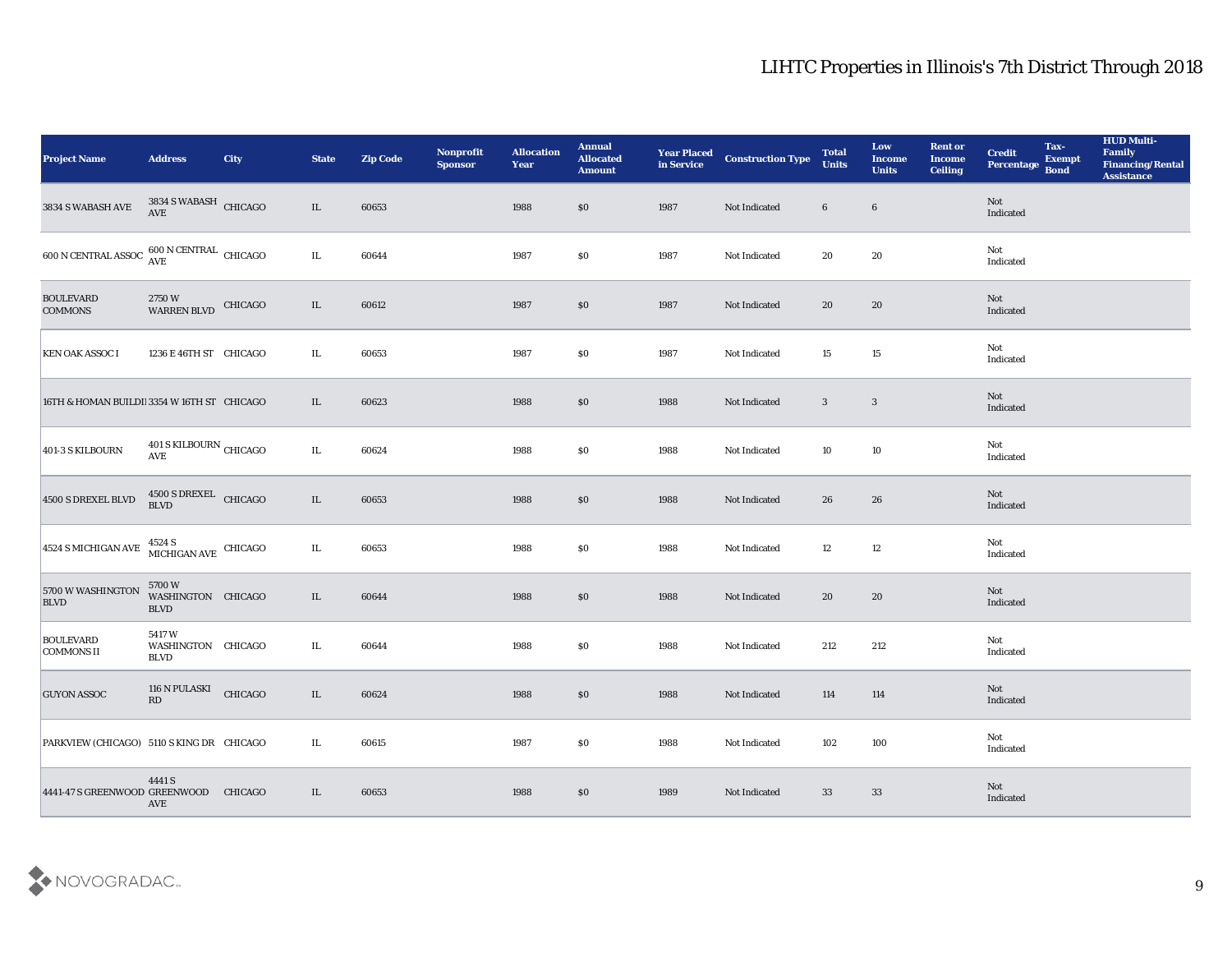| <b>Project Name</b>                                    | <b>Address</b>                                  | City    | <b>State</b> | <b>Zip Code</b> | Nonprofit<br><b>Sponsor</b> | <b>Allocation</b><br>Year | <b>Annual</b><br><b>Allocated</b><br><b>Amount</b> | <b>Year Placed</b><br>in Service | <b>Construction Type</b> | <b>Total</b><br><b>Units</b> | Low<br><b>Income</b><br><b>Units</b> | <b>Rent or</b><br><b>Income</b><br><b>Ceiling</b> | <b>Credit</b><br>Percentage | Tax-<br><b>Exempt</b><br><b>Bond</b> | <b>HUD Multi-</b><br>Family<br><b>Financing/Rental</b><br><b>Assistance</b> |
|--------------------------------------------------------|-------------------------------------------------|---------|--------------|-----------------|-----------------------------|---------------------------|----------------------------------------------------|----------------------------------|--------------------------|------------------------------|--------------------------------------|---------------------------------------------------|-----------------------------|--------------------------------------|-----------------------------------------------------------------------------|
| 3834 S WABASH AVE                                      | $3834$ S WABASH $\,$ CHICAGO AVE                |         | $\rm IL$     | 60653           |                             | 1988                      | \$0                                                | 1987                             | Not Indicated            | $6\phantom{.}6$              | $6\phantom{.}6$                      |                                                   | Not<br>Indicated            |                                      |                                                                             |
| $600$ N CENTRAL ASSOC $\frac{600}{\text{AVE}}$ CHICAGO |                                                 |         | $\rm IL$     | 60644           |                             | 1987                      | \$0                                                | 1987                             | Not Indicated            | 20                           | 20                                   |                                                   | Not<br>Indicated            |                                      |                                                                             |
| <b>BOULEVARD</b><br><b>COMMONS</b>                     | 2750W<br><b>WARREN BLVD</b>                     | CHICAGO | IL           | 60612           |                             | 1987                      | \$0                                                | 1987                             | Not Indicated            | 20                           | 20                                   |                                                   | <b>Not</b><br>Indicated     |                                      |                                                                             |
| <b>KEN OAK ASSOC I</b>                                 | 1236 E 46TH ST CHICAGO                          |         | IL.          | 60653           |                             | 1987                      | \$0                                                | 1987                             | Not Indicated            | 15                           | 15                                   |                                                   | Not<br>Indicated            |                                      |                                                                             |
| 16TH & HOMAN BUILDI 3354 W 16TH ST CHICAGO             |                                                 |         | IL           | 60623           |                             | 1988                      | \$0                                                | 1988                             | Not Indicated            | 3                            | $\mathbf{3}$                         |                                                   | Not<br>Indicated            |                                      |                                                                             |
| 401-3 S KILBOURN                                       | 401 S KILBOURN CHICAGO<br>$\operatorname{AVE}$  |         | $\rm IL$     | 60624           |                             | 1988                      | \$0                                                | 1988                             | Not Indicated            | 10                           | 10                                   |                                                   | Not<br>Indicated            |                                      |                                                                             |
| 4500 S DREXEL BLVD                                     | $4500$ S DREXEL $$\rm CHICAGO$$                 |         | $\rm IL$     | 60653           |                             | 1988                      | \$0                                                | 1988                             | Not Indicated            | 26                           | 26                                   |                                                   | Not<br>Indicated            |                                      |                                                                             |
| 4524 S MICHIGAN AVE                                    | $4524$ S $$\,$ MICHIGAN AVE $$\,$ CHICAGO $$\,$ |         | $\rm IL$     | 60653           |                             | 1988                      | \$0                                                | 1988                             | Not Indicated            | 12                           | 12                                   |                                                   | Not<br>Indicated            |                                      |                                                                             |
| 5700 W WASHINGTON<br><b>BLVD</b>                       | 5700W<br>WASHINGTON CHICAGO<br><b>BLVD</b>      |         | IL           | 60644           |                             | 1988                      | \$0\$                                              | 1988                             | Not Indicated            | 20                           | 20                                   |                                                   | Not<br>Indicated            |                                      |                                                                             |
| <b>BOULEVARD</b><br>COMMONS II                         | 5417W<br>WASHINGTON CHICAGO<br><b>BLVD</b>      |         | IL           | 60644           |                             | 1988                      | \$0                                                | 1988                             | Not Indicated            | 212                          | 212                                  |                                                   | Not<br>Indicated            |                                      |                                                                             |
| <b>GUYON ASSOC</b>                                     | 116 N PULASKI<br>RD                             | CHICAGO | IL           | 60624           |                             | 1988                      | \$0\$                                              | 1988                             | Not Indicated            | 114                          | 114                                  |                                                   | Not<br>Indicated            |                                      |                                                                             |
| PARKVIEW (CHICAGO) 5110 S KING DR CHICAGO              |                                                 |         | $\rm IL$     | 60615           |                             | 1987                      | $\$0$                                              | 1988                             | Not Indicated            | 102                          | $100\,$                              |                                                   | Not<br>Indicated            |                                      |                                                                             |
| 4441-47 S GREENWOOD GREENWOOD                          | 4441 S<br>AVE                                   | CHICAGO | IL           | 60653           |                             | 1988                      | \$0\$                                              | 1989                             | Not Indicated            | 33                           | 33                                   |                                                   | Not<br>Indicated            |                                      |                                                                             |

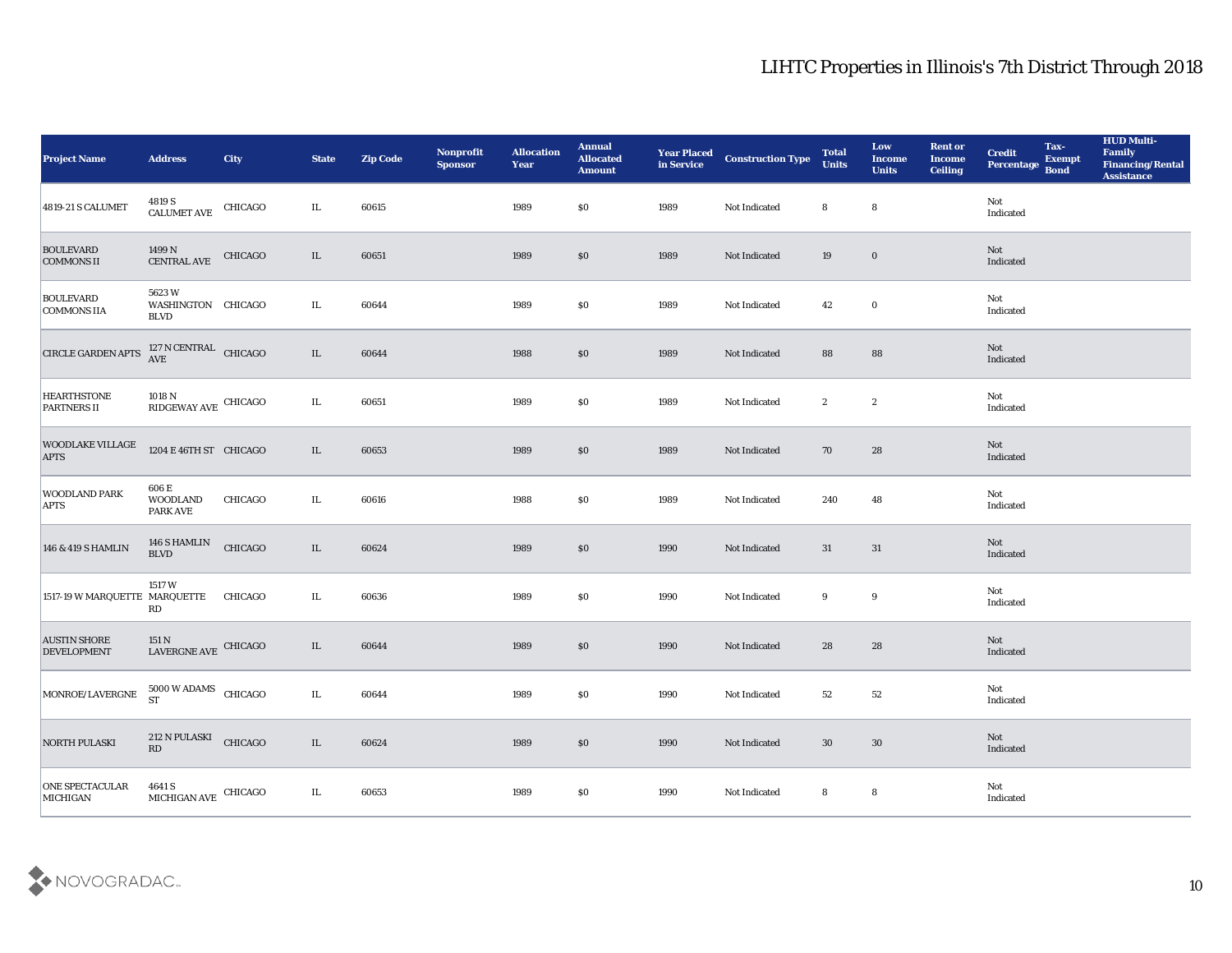| <b>Project Name</b>                       | <b>Address</b>                                                                                                             | <b>City</b> | <b>State</b> | <b>Zip Code</b> | Nonprofit<br><b>Sponsor</b> | <b>Allocation</b><br><b>Year</b> | <b>Annual</b><br>Allocated<br><b>Amount</b> | <b>Year Placed<br/>in Service</b> | <b>Construction Type</b> | <b>Total</b><br><b>Units</b> | Low<br><b>Income</b><br><b>Units</b> | <b>Rent or</b><br><b>Income</b><br><b>Ceiling</b> | <b>Credit</b><br>Percentage | Tax-<br><b>Exempt</b><br><b>Bond</b> | <b>HUD Multi-</b><br>Family<br><b>Financing/Rental</b><br><b>Assistance</b> |
|-------------------------------------------|----------------------------------------------------------------------------------------------------------------------------|-------------|--------------|-----------------|-----------------------------|----------------------------------|---------------------------------------------|-----------------------------------|--------------------------|------------------------------|--------------------------------------|---------------------------------------------------|-----------------------------|--------------------------------------|-----------------------------------------------------------------------------|
| 4819-21 S CALUMET                         | $\begin{tabular}{c} 4819\, \text{S} \\ \text{CALUMET AVE} \end{tabular} \quad \begin{tabular}{c} CHICAGO \\ \end{tabular}$ |             | $\rm IL$     | 60615           |                             | 1989                             | \$0                                         | 1989                              | Not Indicated            | 8                            | 8                                    |                                                   | Not<br>Indicated            |                                      |                                                                             |
| <b>BOULEVARD</b><br><b>COMMONS II</b>     | $1499\,\mathrm{N}$<br>CENTRAL AVE                                                                                          | CHICAGO     | IL           | 60651           |                             | 1989                             | \$0                                         | 1989                              | Not Indicated            | 19                           | $\bf{0}$                             |                                                   | Not<br>Indicated            |                                      |                                                                             |
| <b>BOULEVARD</b><br><b>COMMONS IIA</b>    | 5623W<br>WASHINGTON CHICAGO<br><b>BLVD</b>                                                                                 |             | IL           | 60644           |                             | 1989                             | \$0                                         | 1989                              | Not Indicated            | 42                           | $\bf{0}$                             |                                                   | Not<br>Indicated            |                                      |                                                                             |
| <b>CIRCLE GARDEN APTS</b>                 | $127$ N CENTRAL $$\rm CHICAGO$$                                                                                            |             | IL           | 60644           |                             | 1988                             | \$0                                         | 1989                              | Not Indicated            | 88                           | 88                                   |                                                   | Not<br>Indicated            |                                      |                                                                             |
| <b>HEARTHSTONE</b><br><b>PARTNERS II</b>  | $1018$ N $$\rm \,RIDGEWAY\,AVE$$ CHICAGO                                                                                   |             | $\rm IL$     | 60651           |                             | 1989                             | \$0                                         | 1989                              | Not Indicated            | $\boldsymbol{2}$             | $\boldsymbol{2}$                     |                                                   | Not<br>Indicated            |                                      |                                                                             |
| <b>WOODLAKE VILLAGE</b><br><b>APTS</b>    | 1204 E 46TH ST CHICAGO                                                                                                     |             | IL           | 60653           |                             | 1989                             | \$0                                         | 1989                              | Not Indicated            | 70                           | 28                                   |                                                   | Not<br>Indicated            |                                      |                                                                             |
| <b>WOODLAND PARK</b><br><b>APTS</b>       | 606 E<br><b>WOODLAND</b><br><b>PARK AVE</b>                                                                                | CHICAGO     | IL           | 60616           |                             | 1988                             | \$0                                         | 1989                              | Not Indicated            | 240                          | 48                                   |                                                   | Not<br>Indicated            |                                      |                                                                             |
| 146 & 419 S HAMLIN                        | 146 S HAMLIN<br><b>BLVD</b>                                                                                                | CHICAGO     | IL           | 60624           |                             | 1989                             | \$0                                         | 1990                              | Not Indicated            | 31                           | 31                                   |                                                   | Not<br>Indicated            |                                      |                                                                             |
| 1517-19 W MARQUETTE MARQUETTE             | 1517W<br>RD                                                                                                                | CHICAGO     | IL           | 60636           |                             | 1989                             | \$0                                         | 1990                              | Not Indicated            | 9                            | 9                                    |                                                   | Not<br>Indicated            |                                      |                                                                             |
| <b>AUSTIN SHORE</b><br><b>DEVELOPMENT</b> | 151 N<br>LAVERGNE AVE                                                                                                      | CHICAGO     | IL           | 60644           |                             | 1989                             | \$0\$                                       | 1990                              | Not Indicated            | 28                           | 28                                   |                                                   | Not<br>Indicated            |                                      |                                                                             |
| MONROE/LAVERGNE 5000 W ADAMS CHICAGO      |                                                                                                                            |             | IL.          | 60644           |                             | 1989                             | \$0                                         | 1990                              | Not Indicated            | 52                           | 52                                   |                                                   | Not<br>Indicated            |                                      |                                                                             |
| <b>NORTH PULASKI</b>                      | 212 N PULASKI<br>RD                                                                                                        | CHICAGO     | $\rm IL$     | 60624           |                             | 1989                             | $\$0$                                       | 1990                              | Not Indicated            | $30\,$                       | $30\,$                               |                                                   | Not<br>Indicated            |                                      |                                                                             |
| <b>ONE SPECTACULAR</b><br>MICHIGAN        | $4641$ S $$\,$ CHICAGO $$\,$ CHICAGO $$\,$                                                                                 |             | IL           | 60653           |                             | 1989                             | \$0                                         | 1990                              | Not Indicated            | 8                            | ${\bf 8}$                            |                                                   | Not<br>Indicated            |                                      |                                                                             |

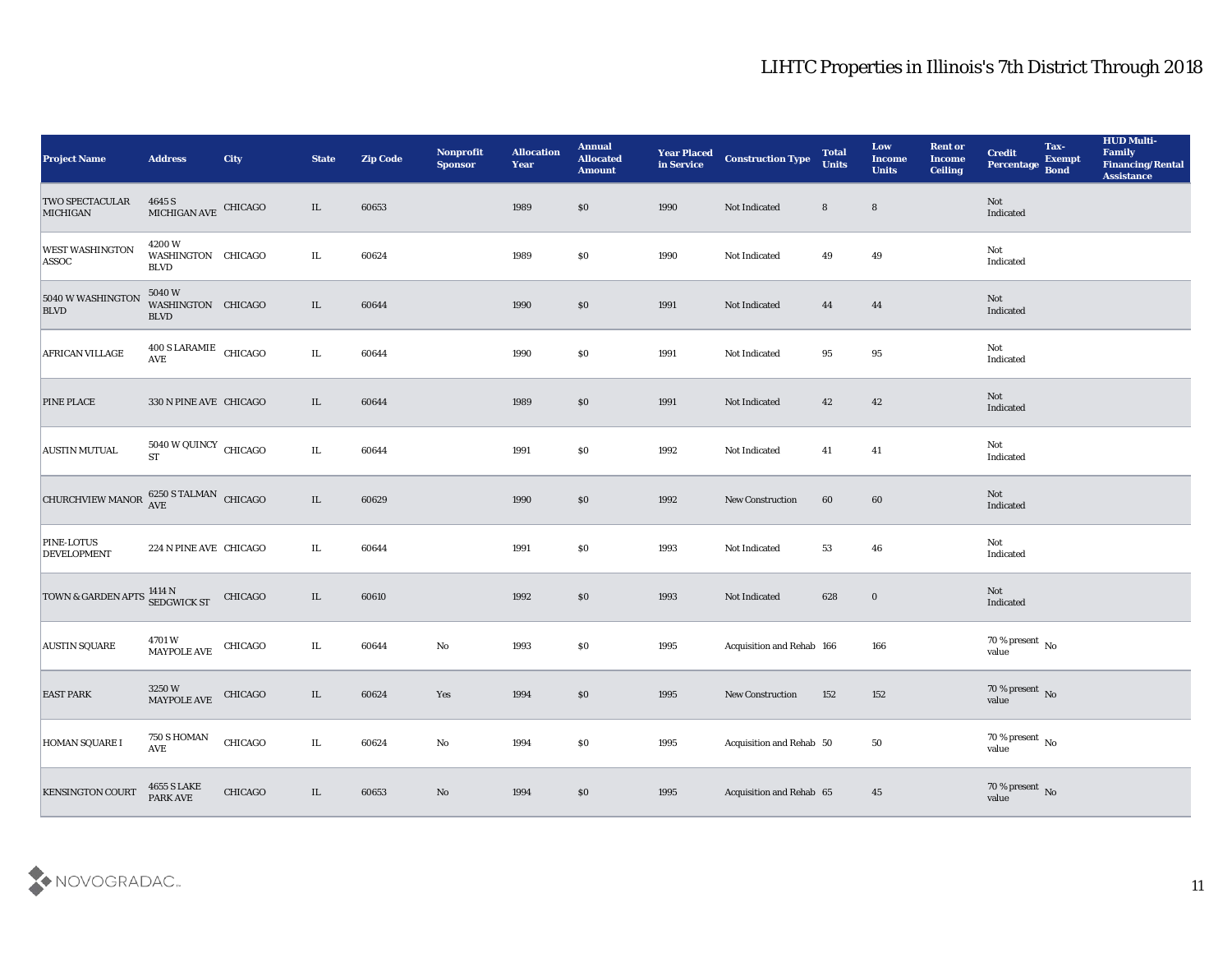| <b>Project Name</b>                                              | <b>Address</b>                                                   | <b>City</b> | <b>State</b> | <b>Zip Code</b> | Nonprofit<br><b>Sponsor</b> | <b>Allocation</b><br><b>Year</b> | <b>Annual</b><br><b>Allocated</b><br><b>Amount</b> | <b>Year Placed</b><br>in Service | <b>Construction Type</b>  | <b>Total</b><br><b>Units</b> | Low<br><b>Income</b><br><b>Units</b> | <b>Rent or</b><br><b>Income</b><br>Ceiling | <b>Credit</b><br>Percentage Bond | Tax-<br><b>Exempt</b> | <b>HUD Multi-</b><br>Family<br><b>Financing/Rental</b><br><b>Assistance</b> |
|------------------------------------------------------------------|------------------------------------------------------------------|-------------|--------------|-----------------|-----------------------------|----------------------------------|----------------------------------------------------|----------------------------------|---------------------------|------------------------------|--------------------------------------|--------------------------------------------|----------------------------------|-----------------------|-----------------------------------------------------------------------------|
| TWO SPECTACULAR<br>MICHIGAN                                      | $4645$ S $$\,$ $\,$ CHICAGO $$\,$ MICHIGAN AVE $\,$ CHICAGO $\,$ |             | $\rm IL$     | 60653           |                             | 1989                             | \$0                                                | 1990                             | Not Indicated             | 8                            | $8\phantom{1}$                       |                                            | Not<br>Indicated                 |                       |                                                                             |
| <b>WEST WASHINGTON</b><br>ASSOC                                  | 4200W<br>WASHINGTON CHICAGO<br><b>BLVD</b>                       |             | IL           | 60624           |                             | 1989                             | $\$0$                                              | 1990                             | Not Indicated             | 49                           | 49                                   |                                            | Not<br>Indicated                 |                       |                                                                             |
| 5040 W WASHINGTON<br><b>BLVD</b>                                 | 5040W<br>WASHINGTON CHICAGO<br><b>BLVD</b>                       |             | $\rm IL$     | 60644           |                             | 1990                             | $\$0$                                              | 1991                             | Not Indicated             | 44                           | 44                                   |                                            | Not<br>Indicated                 |                       |                                                                             |
| AFRICAN VILLAGE                                                  | $400$ S LARAMIE $\,$ CHICAGO AVE $\,$                            |             | $\rm IL$     | 60644           |                             | 1990                             | \$0                                                | 1991                             | Not Indicated             | 95                           | 95                                   |                                            | Not<br>Indicated                 |                       |                                                                             |
| <b>PINE PLACE</b>                                                | 330 N PINE AVE CHICAGO                                           |             | IL           | 60644           |                             | 1989                             | \$0                                                | 1991                             | Not Indicated             | 42                           | 42                                   |                                            | Not<br>Indicated                 |                       |                                                                             |
| <b>AUSTIN MUTUAL</b>                                             | $5040\ \mathrm{W}\ \mathrm{QUINCY}$ CHICAGO ST                   |             | $\rm IL$     | 60644           |                             | 1991                             | \$0                                                | 1992                             | Not Indicated             | 41                           | 41                                   |                                            | Not<br>Indicated                 |                       |                                                                             |
| CHURCHVIEW MANOR $_{\text{AVE}}^{6250 \text{ S TALMAN}}$ CHICAGO |                                                                  |             | $\rm IL$     | 60629           |                             | 1990                             | $\$0$                                              | 1992                             | <b>New Construction</b>   | 60                           | 60                                   |                                            | Not<br>Indicated                 |                       |                                                                             |
| <b>PINE-LOTUS</b><br><b>DEVELOPMENT</b>                          | 224 N PINE AVE CHICAGO                                           |             | IL           | 60644           |                             | 1991                             | $\$0$                                              | 1993                             | Not Indicated             | 53                           | 46                                   |                                            | Not<br>Indicated                 |                       |                                                                             |
| <b>TOWN &amp; GARDEN APTS</b>                                    | $1414$ N $\,$ SEDGWICK ST                                        | CHICAGO     | $\rm IL$     | 60610           |                             | 1992                             | \$0                                                | 1993                             | Not Indicated             | 628                          | $\bf{0}$                             |                                            | Not<br>Indicated                 |                       |                                                                             |
| <b>AUSTIN SQUARE</b>                                             | 4701 W<br>MAYPOLE AVE                                            | CHICAGO     | IL           | 60644           | $\mathbf {No}$              | 1993                             | $\$0$                                              | 1995                             | Acquisition and Rehab 166 |                              | 166                                  |                                            | $70\,\%$ present $\,$ No value   |                       |                                                                             |
| <b>EAST PARK</b>                                                 | 3250W<br>MAYPOLE AVE                                             | CHICAGO     | IL           | 60624           | Yes                         | 1994                             | \$0                                                | 1995                             | <b>New Construction</b>   | 152                          | 152                                  |                                            | $70\,\%$ present $\,$ No value   |                       |                                                                             |
| <b>HOMAN SQUARE I</b>                                            | $750\,\mathrm{S}\,\mathrm{HOMAN}$<br>$\operatorname{AVE}$        | CHICAGO     | $\rm IL$     | 60624           | $\mathbf {No}$              | 1994                             | $\$0$                                              | 1995                             | Acquisition and Rehab 50  |                              | ${\bf 50}$                           |                                            | $70\,\%$ present $\,$ No value   |                       |                                                                             |
| <b>KENSINGTON COURT</b>                                          | <b>4655 S LAKE</b><br>PARK AVE                                   | CHICAGO     | $\rm IL$     | 60653           | $\mathbf {No}$              | 1994                             | $\$0$                                              | 1995                             | Acquisition and Rehab 65  |                              | 45                                   |                                            | $70\,\%$ present $\,$ No value   |                       |                                                                             |

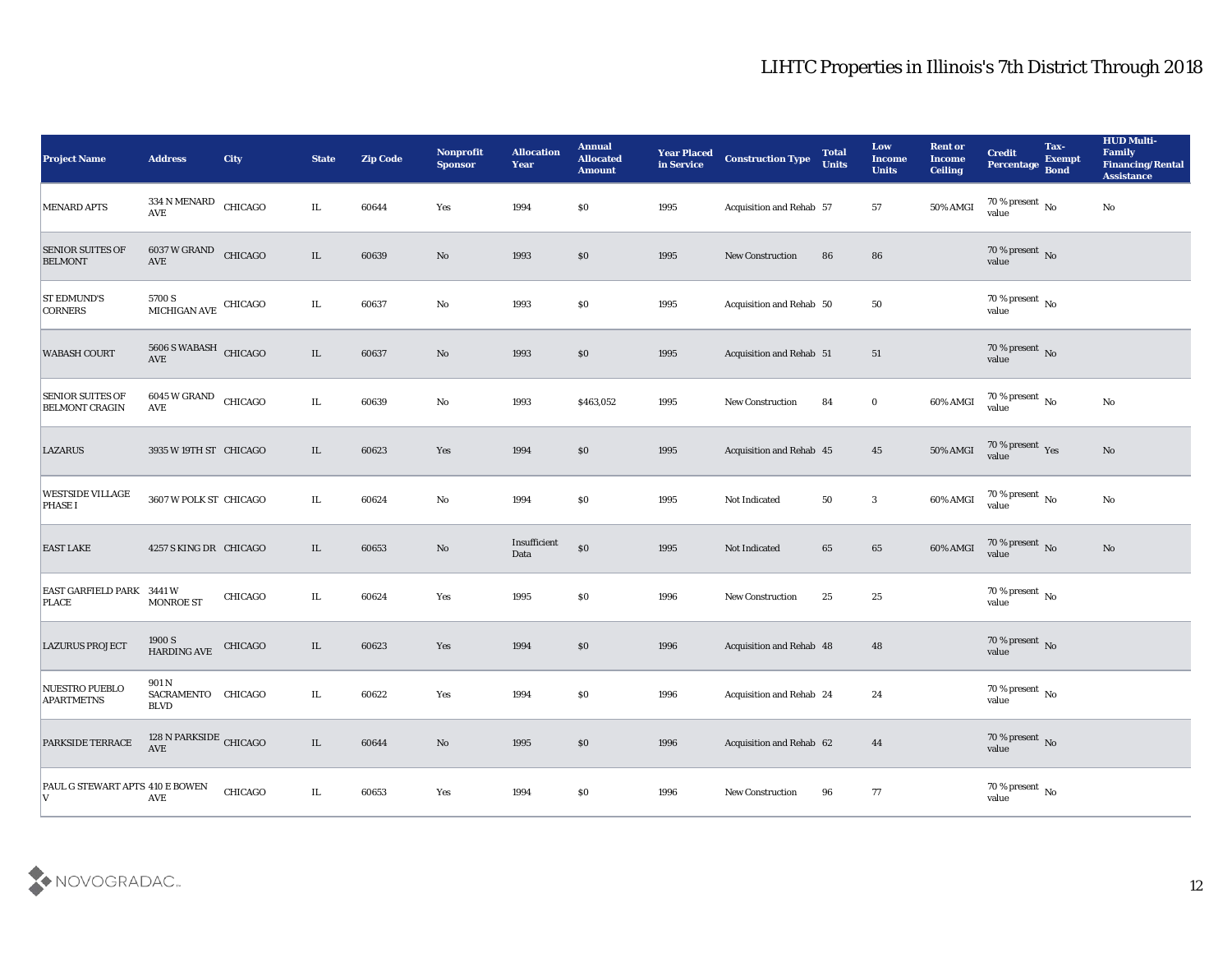| <b>Project Name</b>                              | <b>Address</b>                             | <b>City</b>    | <b>State</b> | <b>Zip Code</b> | Nonprofit<br><b>Sponsor</b> | <b>Allocation</b><br><b>Year</b> | <b>Annual</b><br><b>Allocated</b><br><b>Amount</b> | <b>Year Placed</b><br>in Service | <b>Construction Type</b> | <b>Total</b><br><b>Units</b> | Low<br><b>Income</b><br><b>Units</b> | <b>Rent or</b><br><b>Income</b><br><b>Ceiling</b> | <b>Credit</b><br>Percentage Bond       | Tax-<br><b>Exempt</b> | <b>HUD Multi-</b><br>Family<br><b>Financing/Rental</b><br><b>Assistance</b> |
|--------------------------------------------------|--------------------------------------------|----------------|--------------|-----------------|-----------------------------|----------------------------------|----------------------------------------------------|----------------------------------|--------------------------|------------------------------|--------------------------------------|---------------------------------------------------|----------------------------------------|-----------------------|-----------------------------------------------------------------------------|
| <b>MENARD APTS</b>                               | 334 N MENARD<br><b>AVE</b>                 | CHICAGO        | IL.          | 60644           | Yes                         | 1994                             | $\$0$                                              | 1995                             | Acquisition and Rehab 57 |                              | 57                                   | 50% AMGI                                          | 70 % present $\overline{N_0}$<br>value |                       | No                                                                          |
| <b>SENIOR SUITES OF</b><br><b>BELMONT</b>        | 6037 W GRAND CHICAGO<br>AVE                |                | IL           | 60639           | No                          | 1993                             | $\$0$                                              | 1995                             | <b>New Construction</b>  | 86                           | 86                                   |                                                   | 70 % present No<br>value               |                       |                                                                             |
| <b>ST EDMUND'S</b><br><b>CORNERS</b>             | 5700 S<br>MICHIGAN AVE CHICAGO             |                | IL           | 60637           | $\mathbf{No}$               | 1993                             | \$0\$                                              | 1995                             | Acquisition and Rehab 50 |                              | 50                                   |                                                   | 70 % present $\,$ No $\,$<br>value     |                       |                                                                             |
| <b>WABASH COURT</b>                              | 5606 S WABASH CHICAGO<br>AVE               |                | IL           | 60637           | No                          | 1993                             | \$0\$                                              | 1995                             | Acquisition and Rehab 51 |                              | 51                                   |                                                   | $70\,\%$ present $\,$ No value         |                       |                                                                             |
| <b>SENIOR SUITES OF</b><br><b>BELMONT CRAGIN</b> | 6045 W GRAND<br>AVE                        | CHICAGO        | IL.          | 60639           | $\mathbf{No}$               | 1993                             | \$463,052                                          | 1995                             | <b>New Construction</b>  | 84                           | $\bf{0}$                             | 60% AMGI                                          | $70\,\%$ present $\,$ No value         |                       | $\mathbf{No}$                                                               |
| <b>LAZARUS</b>                                   | 3935 W 19TH ST CHICAGO                     |                | IL           | 60623           | Yes                         | 1994                             | $\$0$                                              | 1995                             | Acquisition and Rehab 45 |                              | 45                                   | 50% AMGI                                          | $70\,\%$ present $\,$ Yes value        |                       | No                                                                          |
| <b>WESTSIDE VILLAGE</b><br><b>PHASE I</b>        | 3607 W POLK ST CHICAGO                     |                | IL.          | 60624           | No                          | 1994                             | \$0\$                                              | 1995                             | Not Indicated            | 50                           | $\mathbf{3}$                         | 60% AMGI                                          | $70\,\%$ present $\,$ No value         |                       | No                                                                          |
| <b>EAST LAKE</b>                                 | 4257 S KING DR CHICAGO                     |                | IL           | 60653           | No                          | Insufficient<br>Data             | $\$0$                                              | 1995                             | Not Indicated            | 65                           | 65                                   | 60% AMGI                                          | $70\,\%$ present $\,$ No value         |                       | $\rm No$                                                                    |
| <b>EAST GARFIELD PARK 3441 W</b><br><b>PLACE</b> | <b>MONROE ST</b>                           | <b>CHICAGO</b> | IL           | 60624           | Yes                         | 1995                             | \$0\$                                              | 1996                             | New Construction         | 25                           | 25                                   |                                                   | $70\,\%$ present $\,$ No value         |                       |                                                                             |
| <b>LAZURUS PROJECT</b>                           | 1900 S<br>HARDING AVE                      | CHICAGO        | IL           | 60623           | Yes                         | 1994                             | $\$0$                                              | 1996                             | Acquisition and Rehab 48 |                              | 48                                   |                                                   | $70\,\%$ present $\,$ No value         |                       |                                                                             |
| <b>NUESTRO PUEBLO</b><br><b>APARTMETNS</b>       | 901 N<br>SACRAMENTO CHICAGO<br><b>BLVD</b> |                | IL.          | 60622           | Yes                         | 1994                             | \$0\$                                              | 1996                             | Acquisition and Rehab 24 |                              | 24                                   |                                                   | 70 % present $\,$ No $\,$<br>value     |                       |                                                                             |
| PARKSIDE TERRACE                                 | 128 N PARKSIDE CHICAGO<br>AVE              |                | $\rm IL$     | 60644           | $\mathbf {No}$              | 1995                             | $\$0$                                              | 1996                             | Acquisition and Rehab 62 |                              | 44                                   |                                                   | $70\,\%$ present $\,$ No value         |                       |                                                                             |
| PAUL G STEWART APTS 410 E BOWEN<br>IV.           | $\operatorname{AVE}$                       | CHICAGO        | IL           | 60653           | $\mathbf{Yes}$              | 1994                             | $\$0$                                              | 1996                             | New Construction         | 96                           | 77                                   |                                                   | $70\,\%$ present $\,$ No value         |                       |                                                                             |

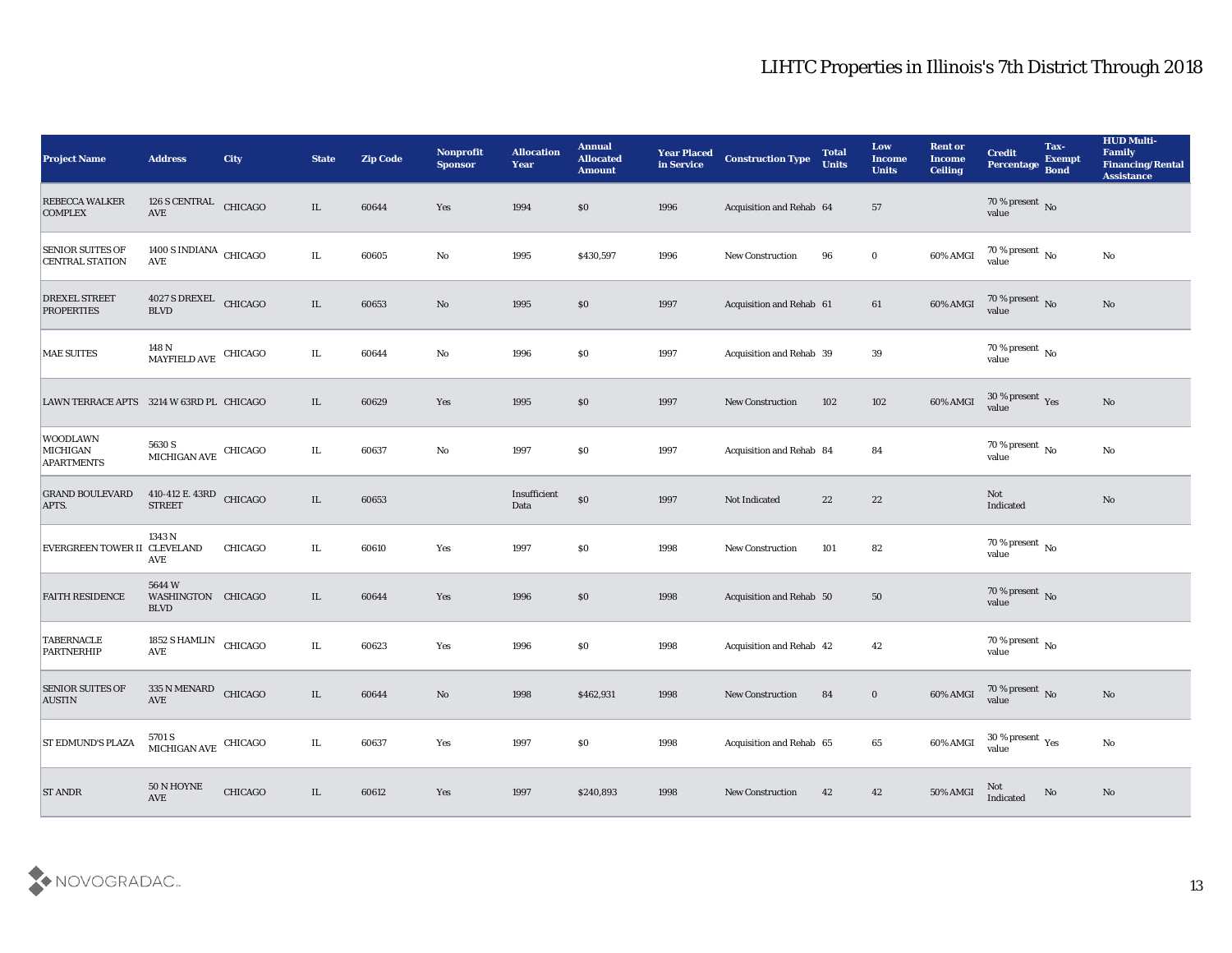| <b>Project Name</b>                               | <b>Address</b>                               | <b>City</b>    | <b>State</b> | <b>Zip Code</b> | Nonprofit<br><b>Sponsor</b>   | <b>Allocation</b><br>Year | <b>Annual</b><br><b>Allocated</b><br><b>Amount</b> | <b>Year Placed</b><br>in Service | <b>Construction Type</b> | <b>Total</b><br><b>Units</b> | Low<br><b>Income</b><br><b>Units</b> | <b>Rent or</b><br><b>Income</b><br><b>Ceiling</b> | <b>Credit</b><br>Percentage       | Tax-<br><b>Exempt</b><br>Bond | <b>HUD Multi-</b><br>Family<br><b>Financing/Rental</b><br><b>Assistance</b> |
|---------------------------------------------------|----------------------------------------------|----------------|--------------|-----------------|-------------------------------|---------------------------|----------------------------------------------------|----------------------------------|--------------------------|------------------------------|--------------------------------------|---------------------------------------------------|-----------------------------------|-------------------------------|-----------------------------------------------------------------------------|
| <b>REBECCA WALKER</b><br><b>COMPLEX</b>           | 126 S CENTRAL<br>$\operatorname{AVE}$        | CHICAGO        | $\rm IL$     | 60644           | Yes                           | 1994                      | \$0                                                | 1996                             | Acquisition and Rehab 64 |                              | 57                                   |                                                   | $70\,\%$ present $\,$ No value    |                               |                                                                             |
| <b>SENIOR SUITES OF</b><br><b>CENTRAL STATION</b> | 1400 S INDIANA CHICAGO<br>AVE                |                | IL           | 60605           | $\mathbf{No}$                 | 1995                      | \$430,597                                          | 1996                             | <b>New Construction</b>  | 96                           | $\bf{0}$                             | 60% AMGI                                          | $70\,\%$ present $\,$ No value    |                               | $\mathbf{N}\mathbf{o}$                                                      |
| <b>DREXEL STREET</b><br><b>PROPERTIES</b>         | 4027 S DREXEL CHICAGO<br><b>BLVD</b>         |                | $\rm IL$     | 60653           | No                            | 1995                      | $\$0$                                              | 1997                             | Acquisition and Rehab 61 |                              | 61                                   | 60% AMGI                                          | $70\,\%$ present $\,$ No value    |                               | $\mathbf{N}\mathbf{o}$                                                      |
| <b>MAE SUITES</b>                                 | 148 N<br><b>MAYFIELD AVE</b>                 | CHICAGO        | IL.          | 60644           | No                            | 1996                      | \$0                                                | 1997                             | Acquisition and Rehab 39 |                              | 39                                   |                                                   | $70\,\%$ present $\,$ No value    |                               |                                                                             |
| LAWN TERRACE APTS 3214 W 63RD PL CHICAGO          |                                              |                | IL           | 60629           | Yes                           | 1995                      | \$0                                                | 1997                             | <b>New Construction</b>  | 102                          | 102                                  | 60% AMGI                                          | $30\,\%$ present $\,$ Yes value   |                               | $\mathbf{N}\mathbf{o}$                                                      |
| <b>WOODLAWN</b><br>MICHIGAN<br><b>APARTMENTS</b>  | 5630 S<br>$MICHIGAN$ $\rm AVE$ $\rm CHICAGO$ |                | IL           | 60637           | No                            | 1997                      | \$0                                                | 1997                             | Acquisition and Rehab 84 |                              | 84                                   |                                                   | 70 % present $\sqrt{\ }$<br>value |                               | No                                                                          |
| <b>GRAND BOULEVARD</b><br>APTS.                   | 410-412 E. 43RD CHICAGO<br><b>STREET</b>     |                | $\rm IL$     | 60653           |                               | Insufficient<br>Data      | \$0                                                | 1997                             | Not Indicated            | 22                           | 22                                   |                                                   | Not<br>Indicated                  |                               | $\mathbf{N}\mathbf{o}$                                                      |
| EVERGREEN TOWER II CLEVELAND                      | 1343 N<br>AVE                                | <b>CHICAGO</b> | IL           | 60610           | Yes                           | 1997                      | \$0                                                | 1998                             | <b>New Construction</b>  | 101                          | 82                                   |                                                   | 70 % present No<br>value          |                               |                                                                             |
| <b>FAITH RESIDENCE</b>                            | 5644W<br>WASHINGTON CHICAGO<br><b>BLVD</b>   |                | IL           | 60644           | Yes                           | 1996                      | \$0                                                | 1998                             | Acquisition and Rehab 50 |                              | 50                                   |                                                   | $70\,\%$ present $\,$ No value    |                               |                                                                             |
| <b>TABERNACLE</b><br>PARTNERHIP                   | 1852 S HAMLIN<br>$\operatorname{AVE}$        | CHICAGO        | IL           | 60623           | Yes                           | 1996                      | \$0                                                | 1998                             | Acquisition and Rehab 42 |                              | 42                                   |                                                   | $70\,\%$ present $\,$ No value    |                               |                                                                             |
| <b>SENIOR SUITES OF</b><br><b>AUSTIN</b>          | 335 N MENARD<br>$\operatorname{AVE}$         | CHICAGO        | IL           | 60644           | No                            | 1998                      | \$462,931                                          | 1998                             | <b>New Construction</b>  | 84                           | $\bf{0}$                             | 60% AMGI                                          | $70\,\%$ present $\,$ No value    |                               | No                                                                          |
| <b>ST EDMUND'S PLAZA</b>                          | 5701 S<br>MICHIGAN AVE CHICAGO               |                | $\rm IL$     | 60637           | $\operatorname{\textsc{Yes}}$ | 1997                      | \$0                                                | 1998                             | Acquisition and Rehab 65 |                              | 65                                   | 60% AMGI                                          | $30\,\%$ present $\,$ Yes value   |                               | $\mathbf {No}$                                                              |
| <b>ST ANDR</b>                                    | $50$ N HOYNE<br>$\operatorname{AVE}$         | CHICAGO        | IL           | 60612           | $\mathbf{Yes}$                | 1997                      | \$240,893                                          | 1998                             | <b>New Construction</b>  | 42                           | 42                                   | 50% AMGI                                          | Not<br>Indicated                  | $\mathbf{N}\mathbf{o}$        | $\rm\thinspace No$                                                          |

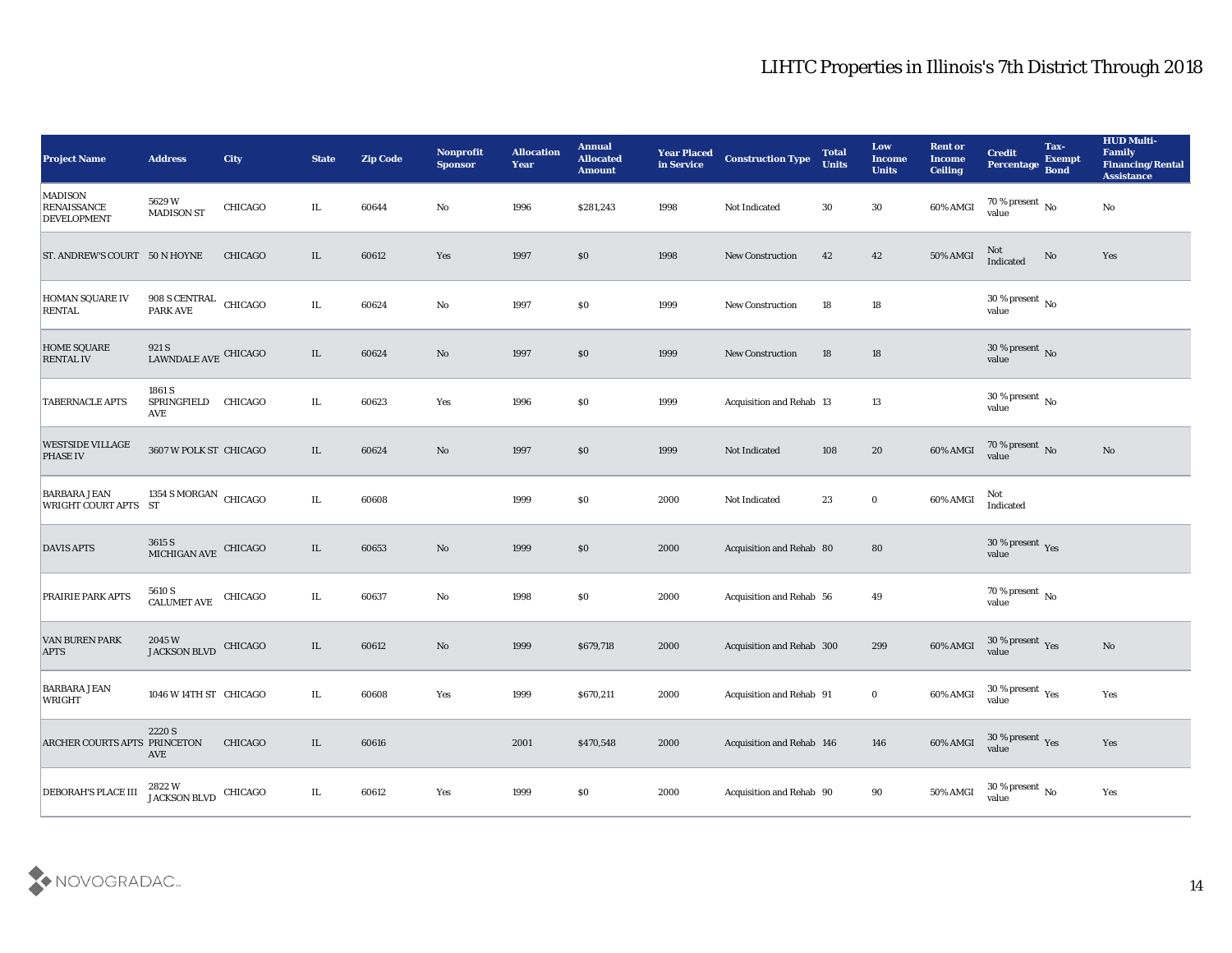| <b>Project Name</b>                                        | <b>Address</b>                           | City           | <b>State</b> | <b>Zip Code</b> | Nonprofit<br><b>Sponsor</b> | <b>Allocation</b><br><b>Year</b> | <b>Annual</b><br><b>Allocated</b><br><b>Amount</b> | <b>Year Placed</b><br>in Service | <b>Construction Type</b>  | <b>Total</b><br><b>Units</b> | Low<br><b>Income</b><br><b>Units</b> | <b>Rent or</b><br><b>Income</b><br><b>Ceiling</b> | <b>Credit</b><br>Percentage        | Tax-<br><b>Exempt</b><br><b>Bond</b> | <b>HUD Multi-</b><br>Family<br><b>Financing/Rental</b><br><b>Assistance</b> |
|------------------------------------------------------------|------------------------------------------|----------------|--------------|-----------------|-----------------------------|----------------------------------|----------------------------------------------------|----------------------------------|---------------------------|------------------------------|--------------------------------------|---------------------------------------------------|------------------------------------|--------------------------------------|-----------------------------------------------------------------------------|
| <b>MADISON</b><br><b>RENAISSANCE</b><br><b>DEVELOPMENT</b> | 5629W<br><b>MADISON ST</b>               | <b>CHICAGO</b> | IL.          | 60644           | No                          | 1996                             | \$281,243                                          | 1998                             | Not Indicated             | 30                           | 30                                   | 60% AMGI                                          | 70 % present $\,$ No $\,$<br>value |                                      | $\rm\thinspace No$                                                          |
| <b>ST. ANDREW'S COURT 50 N HOYNE</b>                       |                                          | <b>CHICAGO</b> | IL           | 60612           | Yes                         | 1997                             | \$0                                                | 1998                             | <b>New Construction</b>   | 42                           | 42                                   | <b>50% AMGI</b>                                   | Not<br>Indicated                   | No                                   | Yes                                                                         |
| <b>HOMAN SQUARE IV</b><br><b>RENTAL</b>                    | 908 S CENTRAL CHICAGO<br><b>PARK AVE</b> |                | IL           | 60624           | $\mathbf{No}$               | 1997                             | \$0                                                | 1999                             | New Construction          | 18                           | 18                                   |                                                   | 30 % present $\,$ No $\,$<br>value |                                      |                                                                             |
| <b>HOME SQUARE</b><br><b>RENTAL IV</b>                     | $921\,\mathrm{S}$ LAWNDALE AVE CHICAGO   |                | IL           | 60624           | $\mathbf{N}\mathbf{o}$      | 1997                             | \$0                                                | 1999                             | <b>New Construction</b>   | 18                           | 18                                   |                                                   | $30\,\%$ present $\,$ No value     |                                      |                                                                             |
| <b>TABERNACLE APTS</b>                                     | 1861 S<br>SPRINGFIELD<br><b>AVE</b>      | <b>CHICAGO</b> | IL.          | 60623           | Yes                         | 1996                             | $\$0$                                              | 1999                             | Acquisition and Rehab 13  |                              | 13                                   |                                                   | $30\,\%$ present $\,$ No value     |                                      |                                                                             |
| <b>WESTSIDE VILLAGE</b><br><b>PHASE IV</b>                 | 3607 W POLK ST CHICAGO                   |                | IL.          | 60624           | No                          | 1997                             | \$0                                                | 1999                             | Not Indicated             | 108                          | 20                                   | 60% AMGI                                          | $70\,\%$ present $\,$ No value     |                                      | No                                                                          |
| <b>BARBARA JEAN</b><br><b>WRIGHT COURT APTS ST</b>         | 1354 S MORGAN CHICAGO                    |                | IL.          | 60608           |                             | 1999                             | \$0                                                | 2000                             | Not Indicated             | 23                           | $\bf{0}$                             | 60% AMGI                                          | Not<br>Indicated                   |                                      |                                                                             |
| <b>DAVIS APTS</b>                                          | $3615~\mathrm{S}$ MICHIGAN AVE CHICAGO   |                | IL           | 60653           | $\mathbf{N}\mathbf{o}$      | 1999                             | \$0                                                | 2000                             | Acquisition and Rehab 80  |                              | ${\bf 80}$                           |                                                   | $30\,\%$ present $\,$ Yes value    |                                      |                                                                             |
| <b>PRAIRIE PARK APTS</b>                                   | 5610 S<br><b>CALUMET AVE</b>             | CHICAGO        | IL           | 60637           | $\mathbf{No}$               | 1998                             | \$0                                                | 2000                             | Acquisition and Rehab 56  |                              | 49                                   |                                                   | $70\,\%$ present $\,$ No value     |                                      |                                                                             |
| <b>VAN BUREN PARK</b><br><b>APTS</b>                       | 2045 W<br>JACKSON BLVD                   | CHICAGO        | IL           | 60612           | $\mathbf{N}\mathbf{o}$      | 1999                             | \$679,718                                          | 2000                             | Acquisition and Rehab 300 |                              | 299                                  | 60% AMGI                                          | $30\,\%$ present $\,$ Yes value    |                                      | $\rm\thinspace No$                                                          |
| <b>BARBARA JEAN</b><br>WRIGHT                              | 1046 W 14TH ST CHICAGO                   |                | IL.          | 60608           | Yes                         | 1999                             | \$670,211                                          | 2000                             | Acquisition and Rehab 91  |                              | $\bf{0}$                             | 60% AMGI                                          | 30 % present $_{\rm Yes}$<br>value |                                      | Yes                                                                         |
| ARCHER COURTS APTS PRINCETON                               | 2220 S<br>AVE                            | <b>CHICAGO</b> | IL.          | 60616           |                             | 2001                             | \$470,548                                          | 2000                             | Acquisition and Rehab 146 |                              | 146                                  | 60% AMGI                                          | $30\,\%$ present $\,$ Yes value    |                                      | Yes                                                                         |
| <b>DEBORAH'S PLACE III</b>                                 | 2822W<br><b>JACKSON BLVD</b>             | CHICAGO        | IL           | 60612           | Yes                         | 1999                             | $\$0$                                              | 2000                             | Acquisition and Rehab 90  |                              | $90\,$                               | 50% AMGI                                          | 30 % present $\,$ No $\,$<br>value |                                      | Yes                                                                         |

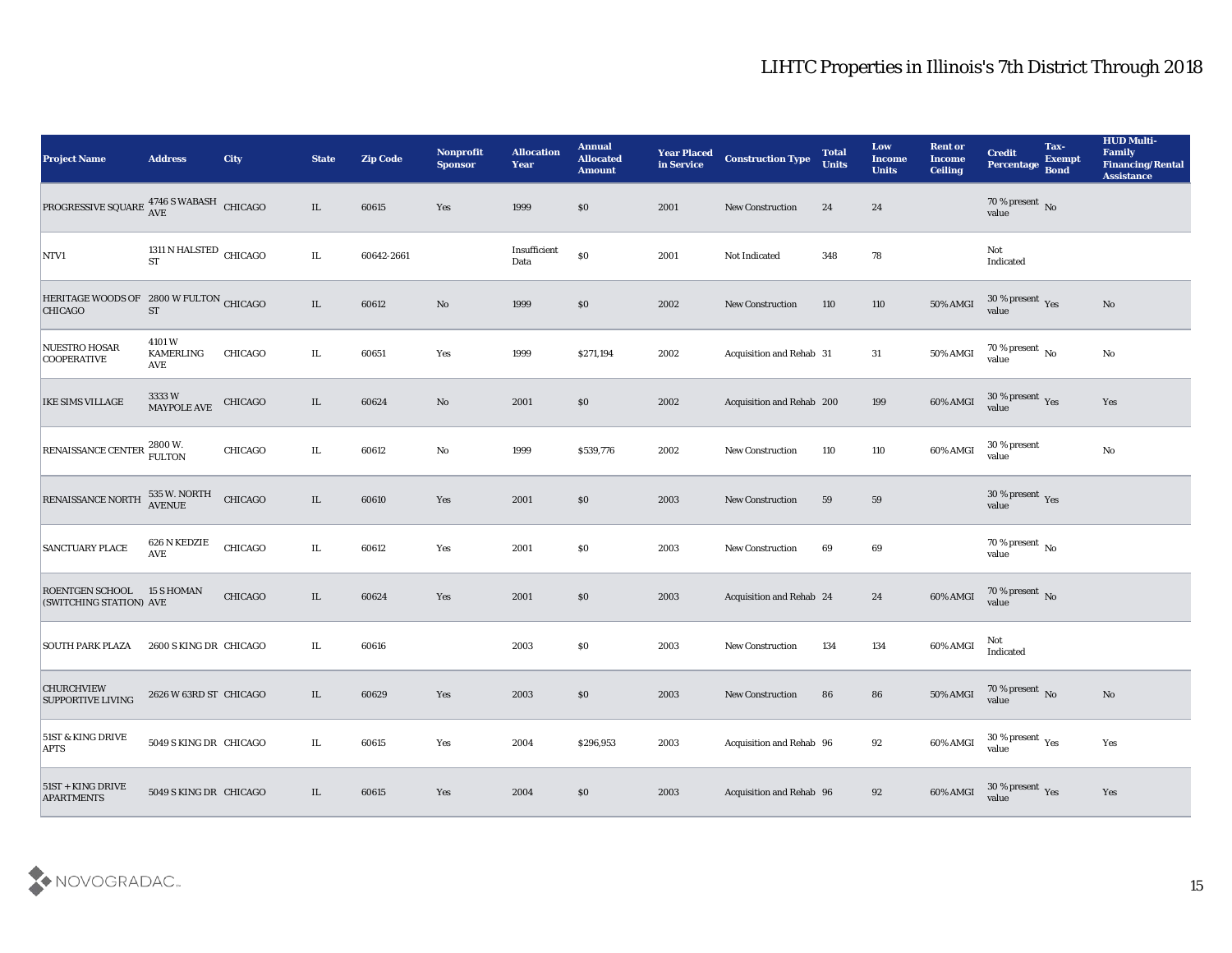| <b>Project Name</b>                                                  | <b>Address</b>                      | City           | <b>State</b> | <b>Zip Code</b> | <b>Nonprofit</b><br><b>Sponsor</b> | <b>Allocation</b><br><b>Year</b> | <b>Annual</b><br><b>Allocated</b><br><b>Amount</b> | <b>Year Placed</b><br>in Service | <b>Construction Type</b>  | <b>Total</b><br><b>Units</b> | Low<br><b>Income</b><br><b>Units</b> | <b>Rent or</b><br><b>Income</b><br><b>Ceiling</b> | <b>Credit</b><br>Percentage               | Tax-<br><b>Exempt</b><br><b>Bond</b> | <b>HUD Multi-</b><br>Family<br><b>Financing/Rental</b><br><b>Assistance</b> |
|----------------------------------------------------------------------|-------------------------------------|----------------|--------------|-----------------|------------------------------------|----------------------------------|----------------------------------------------------|----------------------------------|---------------------------|------------------------------|--------------------------------------|---------------------------------------------------|-------------------------------------------|--------------------------------------|-----------------------------------------------------------------------------|
| PROGRESSIVE SQUARE $_{\rm AVE}^{4746~\rm S}$ WABASH $_{\rm CHICAGO}$ |                                     |                | IL           | 60615           | Yes                                | 1999                             | \$0                                                | 2001                             | <b>New Construction</b>   | 24                           | 24                                   |                                                   | $70\,\%$ present $\,$ No value            |                                      |                                                                             |
| NTV1                                                                 | 1311 N HALSTED CHICAGO<br><b>ST</b> |                | IL.          | 60642-2661      |                                    | Insufficient<br>Data             | $\$0$                                              | 2001                             | Not Indicated             | 348                          | 78                                   |                                                   | Not<br>Indicated                          |                                      |                                                                             |
| HERITAGE WOODS OF 2800 W FULTON CHICAGO<br><b>CHICAGO</b>            | <b>ST</b>                           |                | IL           | 60612           | No                                 | 1999                             | \$0                                                | 2002                             | <b>New Construction</b>   | 110                          | 110                                  | 50% AMGI                                          | $30\,\%$ present $\,$ Yes value           |                                      | No                                                                          |
| NUESTRO HOSAR<br><b>COOPERATIVE</b>                                  | 4101W<br><b>KAMERLING</b><br>AVE    | <b>CHICAGO</b> | IL.          | 60651           | Yes                                | 1999                             | \$271,194                                          | 2002                             | Acquisition and Rehab 31  |                              | 31                                   | 50% AMGI                                          | $70\,\%$ present $\,$ No value            |                                      | $\rm\thinspace No$                                                          |
| IKE SIMS VILLAGE                                                     | 3333 W<br>MAYPOLE AVE               | CHICAGO        | IL           | 60624           | No                                 | 2001                             | \$0                                                | 2002                             | Acquisition and Rehab 200 |                              | 199                                  | 60% AMGI                                          | $30\,\%$ present $\,$ Yes value           |                                      | Yes                                                                         |
| RENAISSANCE CENTER 2800 W.                                           |                                     | <b>CHICAGO</b> | IL.          | 60612           | $\mathbf{No}$                      | 1999                             | \$539,776                                          | 2002                             | New Construction          | 110                          | 110                                  | 60% AMGI                                          | 30 % present<br>value                     |                                      | $\mathbf{N}\mathbf{o}$                                                      |
| RENAISSANCE NORTH                                                    | 535 W. NORTH<br>AVENUE              | CHICAGO        | IL           | 60610           | Yes                                | 2001                             | \$0                                                | 2003                             | <b>New Construction</b>   | 59                           | 59                                   |                                                   | $30\,\%$ present $\,$ Yes value           |                                      |                                                                             |
| <b>SANCTUARY PLACE</b>                                               | 626 N KEDZIE<br><b>AVE</b>          | CHICAGO        | IL           | 60612           | Yes                                | 2001                             | \$0                                                | 2003                             | <b>New Construction</b>   | 69                           | 69                                   |                                                   | $70\,\%$ present $\,$ No value            |                                      |                                                                             |
| <b>ROENTGEN SCHOOL</b><br>(SWITCHING STATION) AVE                    | <b>15 S HOMAN</b>                   | <b>CHICAGO</b> | IL           | 60624           | Yes                                | 2001                             | \$0                                                | 2003                             | Acquisition and Rehab 24  |                              | 24                                   | 60% AMGI                                          | $70$ % present $\,$ No value              |                                      |                                                                             |
| <b>SOUTH PARK PLAZA</b>                                              | 2600 S KING DR CHICAGO              |                | IL.          | 60616           |                                    | 2003                             | \$0                                                | 2003                             | <b>New Construction</b>   | 134                          | 134                                  | 60% AMGI                                          | Not<br>Indicated                          |                                      |                                                                             |
| <b>CHURCHVIEW</b><br><b>SUPPORTIVE LIVING</b>                        | 2626 W 63RD ST CHICAGO              |                | IL           | 60629           | Yes                                | 2003                             | \$0\$                                              | 2003                             | <b>New Construction</b>   | 86                           | 86                                   | 50% AMGI                                          | 70 % present No<br>value                  |                                      | $\rm\thinspace No$                                                          |
| 51ST & KING DRIVE<br><b>APTS</b>                                     | 5049 S KING DR CHICAGO              |                | IL.          | 60615           | Yes                                | 2004                             | \$296,953                                          | 2003                             | Acquisition and Rehab 96  |                              | 92                                   | 60% AMGI                                          | 30 % present $\,\rm \gamma_{es}$<br>value |                                      | Yes                                                                         |
| $51ST +$ KING DRIVE<br><b>APARTMENTS</b>                             | 5049 S KING DR CHICAGO              |                | IL           | 60615           | Yes                                | 2004                             | \$0                                                | 2003                             | Acquisition and Rehab 96  |                              | 92                                   | 60% AMGI                                          | 30 % present Yes<br>value                 |                                      | Yes                                                                         |

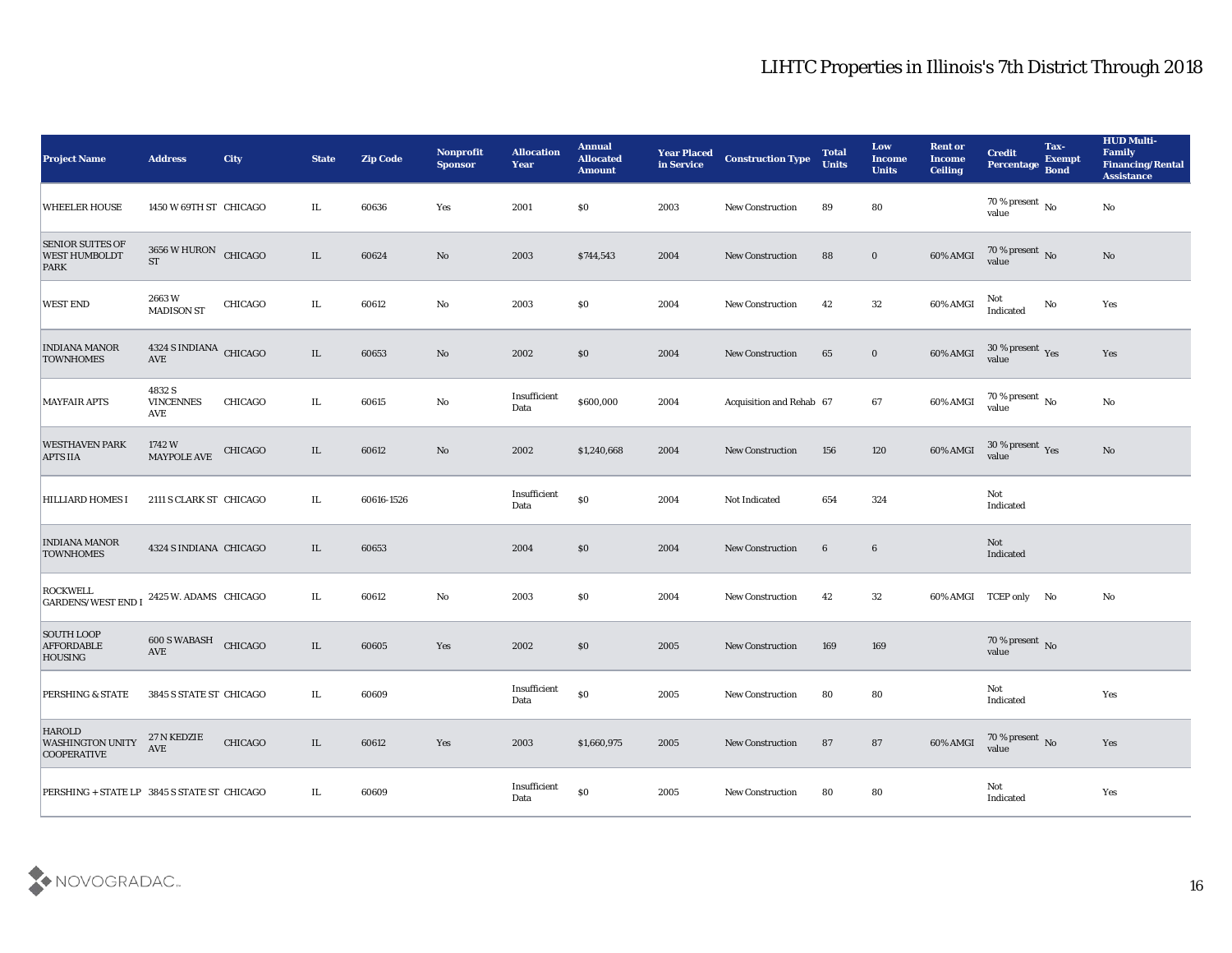| <b>Project Name</b>                                            | <b>Address</b>                                 | City    | <b>State</b> | <b>Zip Code</b> | Nonprofit<br><b>Sponsor</b> | <b>Allocation</b><br><b>Year</b> | <b>Annual</b><br><b>Allocated</b><br><b>Amount</b> | <b>Year Placed</b><br>in Service | <b>Construction Type</b> | <b>Total</b><br><b>Units</b> | Low<br><b>Income</b><br><b>Units</b> | <b>Rent or</b><br><b>Income</b><br><b>Ceiling</b> | <b>Credit</b><br>Percentage Bond      | Tax-<br><b>Exempt</b> | <b>HUD Multi-</b><br>Family<br><b>Financing/Rental</b><br><b>Assistance</b> |
|----------------------------------------------------------------|------------------------------------------------|---------|--------------|-----------------|-----------------------------|----------------------------------|----------------------------------------------------|----------------------------------|--------------------------|------------------------------|--------------------------------------|---------------------------------------------------|---------------------------------------|-----------------------|-----------------------------------------------------------------------------|
| <b>WHEELER HOUSE</b>                                           | 1450 W 69TH ST CHICAGO                         |         | IL           | 60636           | Yes                         | 2001                             | \$0                                                | 2003                             | <b>New Construction</b>  | 89                           | 80                                   |                                                   | $70\,\%$ present $\,$ No value        |                       | No                                                                          |
| <b>SENIOR SUITES OF</b><br><b>WEST HUMBOLDT</b><br>PARK        | 3656 W HURON CHICAGO<br><b>ST</b>              |         | $\rm IL$     | 60624           | No                          | 2003                             | \$744,543                                          | 2004                             | <b>New Construction</b>  | 88                           | $\bf{0}$                             | $60\%$ AMGI                                       | $70\,\%$ present $\,$ No value        |                       | No                                                                          |
| <b>WEST END</b>                                                | 2663W<br><b>MADISON ST</b>                     | CHICAGO | IL           | 60612           | No                          | 2003                             | \$0                                                | 2004                             | <b>New Construction</b>  | 42                           | $32\,$                               | 60% AMGI                                          | Not<br>Indicated                      | No                    | Yes                                                                         |
| <b>INDIANA MANOR</b><br><b>TOWNHOMES</b>                       | 4324 S INDIANA CHICAGO<br>$\operatorname{AVE}$ |         | IL           | 60653           | No                          | 2002                             | \$0                                                | 2004                             | <b>New Construction</b>  | 65                           | $\bf{0}$                             | 60% AMGI                                          | $30\,\%$ present $\,$ Yes value       |                       | Yes                                                                         |
| <b>MAYFAIR APTS</b>                                            | 4832 S<br><b>VINCENNES</b><br>AVE              | CHICAGO | IL           | 60615           | No                          | Insufficient<br>Data             | \$600,000                                          | 2004                             | Acquisition and Rehab 67 |                              | 67                                   | 60% AMGI                                          | $70\,\%$ present $\,$ No value        |                       | No                                                                          |
| <b>WESTHAVEN PARK</b><br><b>APTS IIA</b>                       | 1742 W<br><b>MAYPOLE AVE</b>                   | CHICAGO | IL           | 60612           | No                          | 2002                             | \$1,240,668                                        | 2004                             | <b>New Construction</b>  | 156                          | 120                                  | 60% AMGI                                          | $30\,\%$ present $\,$ Yes value       |                       | No                                                                          |
| <b>HILLIARD HOMES I</b>                                        | 2111 S CLARK ST CHICAGO                        |         | IL.          | 60616-1526      |                             | Insufficient<br>Data             | $\$0$                                              | 2004                             | Not Indicated            | 654                          | 324                                  |                                                   | Not<br>Indicated                      |                       |                                                                             |
| <b>INDIANA MANOR</b><br><b>TOWNHOMES</b>                       | 4324 S INDIANA CHICAGO                         |         | IL           | 60653           |                             | 2004                             | \$0                                                | 2004                             | <b>New Construction</b>  | $6\phantom{.}6$              | 6                                    |                                                   | Not<br>Indicated                      |                       |                                                                             |
| <b>ROCKWELL</b><br><b>GARDENS/WEST END I</b>                   | 2425 W. ADAMS CHICAGO                          |         | IL           | 60612           | No                          | 2003                             | \$0                                                | 2004                             | <b>New Construction</b>  | 42                           | 32                                   |                                                   | 60% AMGI TCEP only No                 |                       | No                                                                          |
| <b>SOUTH LOOP</b><br><b>AFFORDABLE</b><br>HOUSING              | 600 S WABASH<br>$\operatorname{AVE}$           | CHICAGO | $\rm IL$     | 60605           | Yes                         | 2002                             | \$0                                                | 2005                             | <b>New Construction</b>  | 169                          | 169                                  |                                                   | $70\,\%$ present $\,$ No value        |                       |                                                                             |
| <b>PERSHING &amp; STATE</b>                                    | 3845 S STATE ST CHICAGO                        |         | IL           | 60609           |                             | Insufficient<br>Data             | $\$0$                                              | 2005                             | <b>New Construction</b>  | 80                           | 80                                   |                                                   | Not<br>Indicated                      |                       | Yes                                                                         |
| <b>HAROLD</b><br><b>WASHINGTON UNITY</b><br><b>COOPERATIVE</b> | 27 N KEDZIE<br>AVE                             | CHICAGO | IL           | 60612           | Yes                         | 2003                             | \$1,660,975                                        | 2005                             | New Construction         | 87                           | 87                                   | 60% AMGI                                          | $70\,\%$ present $\,$ No value        |                       | Yes                                                                         |
| PERSHING + STATE LP 3845 S STATE ST CHICAGO                    |                                                |         | IL.          | 60609           |                             | Insufficient<br>Data             | $\$0$                                              | 2005                             | New Construction         | 80                           | 80                                   |                                                   | $\operatorname{\bf Not}$<br>Indicated |                       | Yes                                                                         |

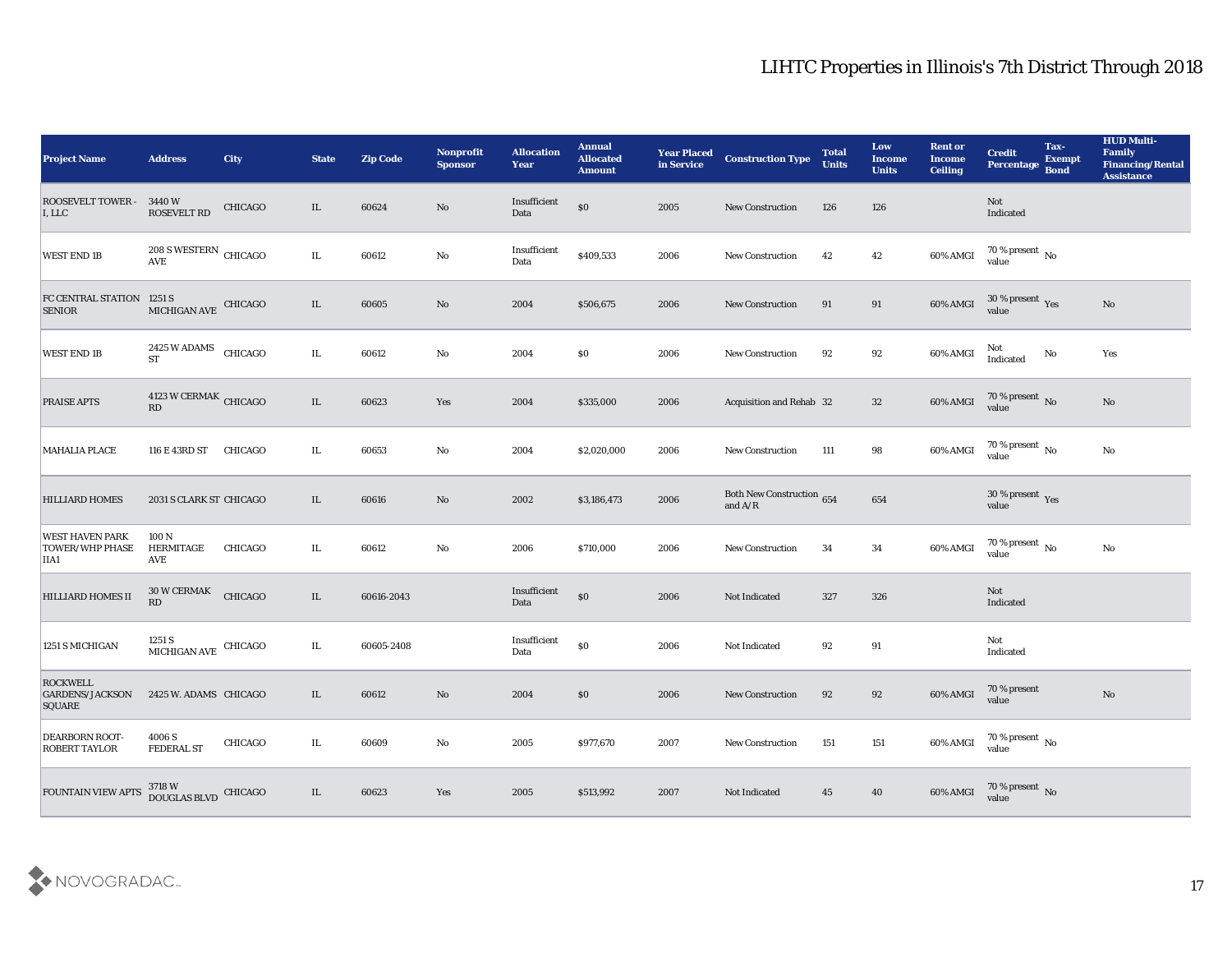| <b>Project Name</b>                                      | <b>Address</b>                                                                         | <b>City</b> | <b>State</b> | <b>Zip Code</b> | Nonprofit<br><b>Sponsor</b> | <b>Allocation</b><br>Year                 | <b>Annual</b><br><b>Allocated</b><br><b>Amount</b> | <b>Year Placed<br/>in Service</b> | <b>Construction Type</b>               | <b>Total</b><br><b>Units</b> | Low<br><b>Income</b><br><b>Units</b> | <b>Rent or</b><br><b>Income</b><br><b>Ceiling</b> | <b>Credit</b><br>Percentage     | Tax-<br><b>Exempt</b><br><b>Bond</b> | <b>HUD Multi-</b><br>Family<br><b>Financing/Rental</b><br><b>Assistance</b> |
|----------------------------------------------------------|----------------------------------------------------------------------------------------|-------------|--------------|-----------------|-----------------------------|-------------------------------------------|----------------------------------------------------|-----------------------------------|----------------------------------------|------------------------------|--------------------------------------|---------------------------------------------------|---------------------------------|--------------------------------------|-----------------------------------------------------------------------------|
| <b>ROOSEVELT TOWER -</b><br>I, LLC                       | 3440 W<br><b>ROSEVELT RD</b>                                                           | CHICAGO     | IL           | 60624           | $\rm\thinspace No$          | Insufficient<br>Data                      | $\$0$                                              | 2005                              | New Construction                       | 126                          | 126                                  |                                                   | Not<br>Indicated                |                                      |                                                                             |
| <b>WEST END 1B</b>                                       | $208$ S WESTERN $\,$ CHICAGO AVE                                                       |             | IL           | 60612           | $\mathbf {No}$              | Insufficient<br>Data                      | \$409,533                                          | 2006                              | New Construction                       | 42                           | 42                                   | 60% AMGI                                          | $70\,\%$ present $\,$ No value  |                                      |                                                                             |
| FC CENTRAL STATION 1251 S<br><b>SENIOR</b>               | MICHIGAN AVE CHICAGO                                                                   |             | IL           | 60605           | $\rm\thinspace No$          | 2004                                      | \$506,675                                          | 2006                              | <b>New Construction</b>                | 91                           | 91                                   | 60% AMGI                                          | $30\,\%$ present $\,$ Yes value |                                      | $\mathbf{N}\mathbf{o}$                                                      |
| <b>WEST END 1B</b>                                       | 2425 W ADAMS<br><b>ST</b>                                                              | CHICAGO     | IL           | 60612           | $\mathbf {No}$              | 2004                                      | \$0                                                | 2006                              | New Construction                       | 92                           | 92                                   | 60% AMGI                                          | Not<br>Indicated                | No                                   | Yes                                                                         |
| <b>PRAISE APTS</b>                                       | $4123\;\mathrm{W}\, \mathrm{C}\mathrm{ER} \mathrm{M} \mathrm{A} \mathrm{K}$ CHICAGO RD |             | $\rm IL$     | 60623           | Yes                         | 2004                                      | \$335,000                                          | 2006                              | Acquisition and Rehab 32               |                              | 32                                   | 60% AMGI                                          | $70\,\%$ present $\,$ No value  |                                      | $\mathbf{N}\mathbf{o}$                                                      |
| <b>MAHALIA PLACE</b>                                     | 116 E 43RD ST                                                                          | CHICAGO     | IL           | 60653           | No                          | 2004                                      | \$2,020,000                                        | 2006                              | <b>New Construction</b>                | 111                          | 98                                   | 60% AMGI                                          | $70\,\%$ present $\,$ No value  |                                      | $\mathbf {No}$                                                              |
| <b>HILLIARD HOMES</b>                                    | 2031 S CLARK ST CHICAGO                                                                |             | IL           | 60616           | $\mathbf{N}\mathbf{o}$      | 2002                                      | \$3,186,473                                        | 2006                              | Both New Construction 654<br>and $A/R$ |                              | 654                                  |                                                   | $30\,\%$ present $\,$ Yes value |                                      |                                                                             |
| <b>WEST HAVEN PARK</b><br><b>TOWER/WHP PHASE</b><br>IIA1 | 100 N<br>HERMITAGE<br>AVE                                                              | CHICAGO     | IL           | 60612           | $\mathbf{No}$               | 2006                                      | \$710,000                                          | 2006                              | <b>New Construction</b>                | 34                           | 34                                   | 60% AMGI                                          | $70\,\%$ present $\,$ No value  |                                      | No                                                                          |
| <b>HILLIARD HOMES II</b>                                 | 30 W CERMAK<br>RD                                                                      | CHICAGO     | $\rm IL$     | 60616-2043      |                             | Insufficient<br>Data                      | $\$0$                                              | 2006                              | Not Indicated                          | 327                          | 326                                  |                                                   | Not<br>Indicated                |                                      |                                                                             |
| 1251 S MICHIGAN                                          | $1251\,\mathrm{S}$ MICHIGAN AVE CHICAGO                                                |             | IL           | 60605-2408      |                             | $\label{lem:inert} In sufficient$<br>Data | \$0                                                | 2006                              | Not Indicated                          | 92                           | 91                                   |                                                   | Not<br>Indicated                |                                      |                                                                             |
| <b>ROCKWELL</b><br><b>GARDENS/JACKSON</b><br>SQUARE      | 2425 W. ADAMS CHICAGO                                                                  |             | IL.          | 60612           | No                          | 2004                                      | $\$0$                                              | 2006                              | <b>New Construction</b>                | 92                           | 92                                   | 60% AMGI                                          | $70$ % present value            |                                      | No                                                                          |
| <b>DEARBORN ROOT-</b><br><b>ROBERT TAYLOR</b>            | 4006 S<br><b>FEDERAL ST</b>                                                            | CHICAGO     | IL           | 60609           | $\rm\thinspace No$          | 2005                                      | \$977,670                                          | 2007                              | <b>New Construction</b>                | 151                          | 151                                  | 60% AMGI                                          | $70\,\%$ present $\,$ No value  |                                      |                                                                             |
| FOUNTAIN VIEW APTS                                       | 3718 W<br>DOUGLAS BLVD CHICAGO                                                         |             | IL           | 60623           | $\mathbf{Yes}$              | 2005                                      | \$513,992                                          | 2007                              | Not Indicated                          | 45                           | 40                                   | 60% AMGI                                          | $70$ % present $\,$ No value    |                                      |                                                                             |

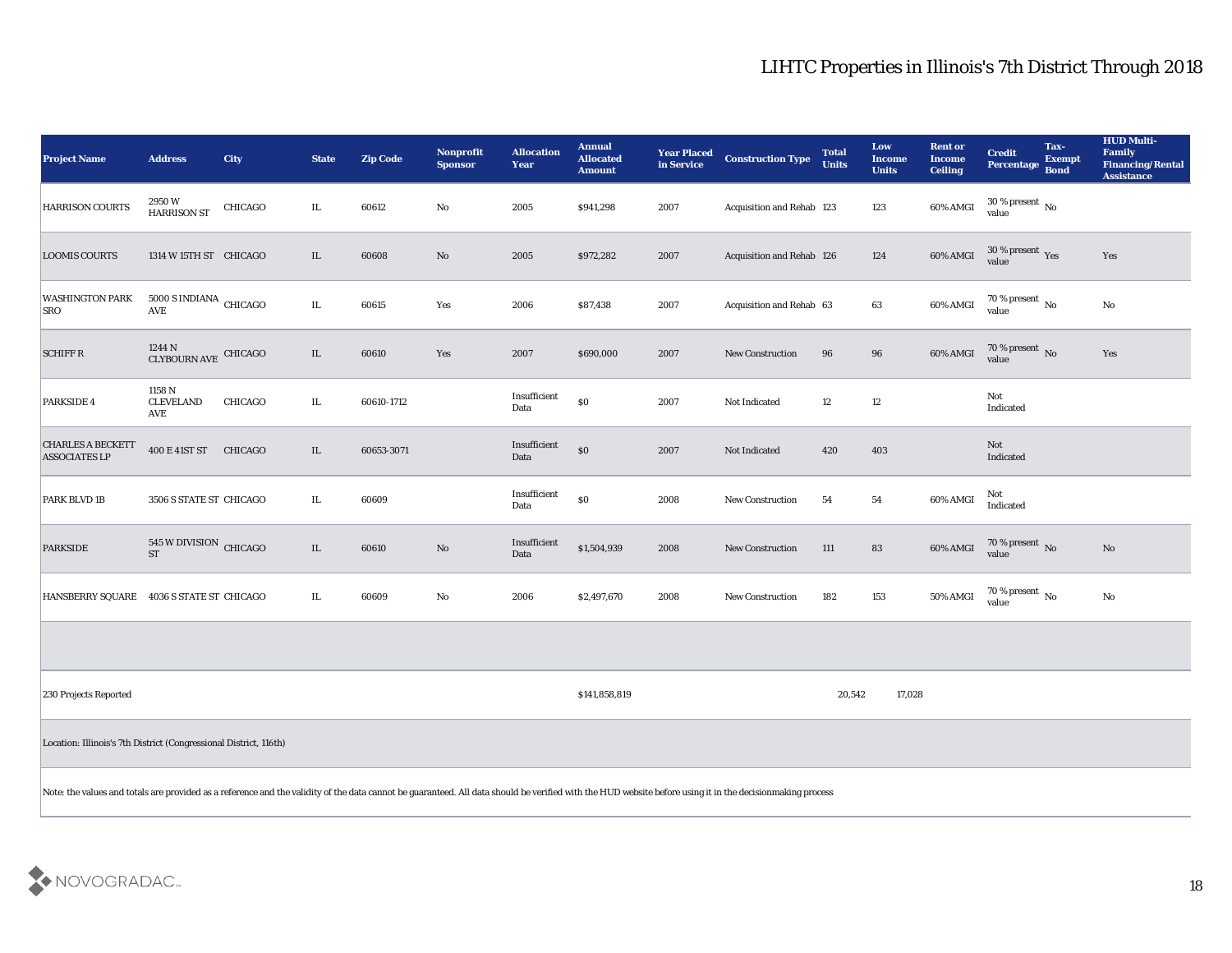| <b>Project Name</b>                              | <b>Address</b>                                                                                                                                                                                            | City           | <b>State</b> | <b>Zip Code</b> | Nonprofit<br><b>Sponsor</b> | <b>Allocation</b><br><b>Year</b> | <b>Annual</b><br><b>Allocated</b><br><b>Amount</b> | <b>Year Placed<br/>in Service</b> | <b>Construction Type</b>  | <b>Total</b><br><b>Units</b> | Low<br><b>Income</b><br><b>Units</b> | <b>Rent or</b><br><b>Income</b><br><b>Ceiling</b> | <b>Credit</b><br><b>Percentage</b>      | Tax-<br><b>Exempt</b><br><b>Bond</b> | <b>HUD Multi-</b><br>Family<br><b>Financing/Rental</b><br><b>Assistance</b> |
|--------------------------------------------------|-----------------------------------------------------------------------------------------------------------------------------------------------------------------------------------------------------------|----------------|--------------|-----------------|-----------------------------|----------------------------------|----------------------------------------------------|-----------------------------------|---------------------------|------------------------------|--------------------------------------|---------------------------------------------------|-----------------------------------------|--------------------------------------|-----------------------------------------------------------------------------|
| <b>HARRISON COURTS</b>                           | 2950W<br><b>HARRISON ST</b>                                                                                                                                                                               | CHICAGO        | IL           | 60612           | No                          | 2005                             | \$941,298                                          | 2007                              | Acquisition and Rehab 123 |                              | 123                                  | 60% AMGI                                          | 30 % present $\,$ No $\,$<br>value      |                                      |                                                                             |
| <b>LOOMIS COURTS</b>                             | 1314 W 15TH ST CHICAGO                                                                                                                                                                                    |                | IL           | 60608           | No                          | 2005                             | \$972,282                                          | 2007                              | Acquisition and Rehab 126 |                              | 124                                  | $60\%$ AMGI                                       | $30\,\%$ present $\,\mathrm{Yes}$ value |                                      | Yes                                                                         |
| <b>WASHINGTON PARK</b><br><b>SRO</b>             | $5000$ S INDIANA $\,$ CHICAGO<br>AVE                                                                                                                                                                      |                | $\rm IL$     | 60615           | Yes                         | 2006                             | \$87,438                                           | 2007                              | Acquisition and Rehab 63  |                              | 63                                   | 60% AMGI                                          | 70 % present $\,$ No $\,$<br>value      |                                      | No                                                                          |
| <b>SCHIFF R</b>                                  | $1244$ N $\,$ CLYBOURN AVE $\,$ CHICAGO $\,$                                                                                                                                                              |                | $\rm IL$     | 60610           | Yes                         | 2007                             | \$690,000                                          | 2007                              | <b>New Construction</b>   | 96                           | ${\bf 96}$                           | $60\%$ AMGI                                       | $70\,\%$ present $\,$ No value          |                                      | Yes                                                                         |
| PARKSIDE 4                                       | 1158 N<br><b>CLEVELAND</b><br>AVE                                                                                                                                                                         | <b>CHICAGO</b> | IL           | 60610-1712      |                             | Insufficient<br>Data             | $\$0$                                              | 2007                              | Not Indicated             | $12\,$                       | $12\,$                               |                                                   | Not<br>Indicated                        |                                      |                                                                             |
| <b>CHARLES A BECKETT</b><br><b>ASSOCIATES LP</b> | 400 E 41ST ST CHICAGO                                                                                                                                                                                     |                | IL           | 60653-3071      |                             | Insufficient<br>Data             | $\$0$                                              | 2007                              | Not Indicated             | 420                          | 403                                  |                                                   | Not<br>Indicated                        |                                      |                                                                             |
| PARK BLVD 1B                                     | 3506 S STATE ST CHICAGO                                                                                                                                                                                   |                | IL           | 60609           |                             | Insufficient<br>Data             | $\$0$                                              | 2008                              | <b>New Construction</b>   | 54                           | 54                                   | 60% AMGI                                          | Not<br>Indicated                        |                                      |                                                                             |
| <b>PARKSIDE</b>                                  | 545 W DIVISION CHICAGO<br><b>ST</b>                                                                                                                                                                       |                | $\rm IL$     | 60610           | No                          | Insufficient<br>Data             | \$1,504,939                                        | 2008                              | New Construction          | 111                          | 83                                   | 60% AMGI                                          | $70\,\%$ present $\,$ No value          |                                      | $\mathbf{N}\mathbf{o}$                                                      |
| HANSBERRY SQUARE 4036 S STATE ST CHICAGO         |                                                                                                                                                                                                           |                | IL           | 60609           | No                          | 2006                             | \$2,497,670                                        | 2008                              | New Construction          | 182                          | 153                                  | 50% AMGI                                          | 70 % present $\,$ No $\,$<br>value      |                                      | No                                                                          |
|                                                  |                                                                                                                                                                                                           |                |              |                 |                             |                                  |                                                    |                                   |                           |                              |                                      |                                                   |                                         |                                      |                                                                             |
| 230 Projects Reported                            |                                                                                                                                                                                                           |                |              |                 |                             |                                  | \$141,858,819                                      |                                   |                           | 20,542                       | 17,028                               |                                                   |                                         |                                      |                                                                             |
|                                                  | Location: Illinois's 7th District (Congressional District, 116th)                                                                                                                                         |                |              |                 |                             |                                  |                                                    |                                   |                           |                              |                                      |                                                   |                                         |                                      |                                                                             |
|                                                  | Note: the values and totals are provided as a reference and the validity of the data cannot be guaranteed. All data should be verified with the HUD website before using it in the decisionmaking process |                |              |                 |                             |                                  |                                                    |                                   |                           |                              |                                      |                                                   |                                         |                                      |                                                                             |